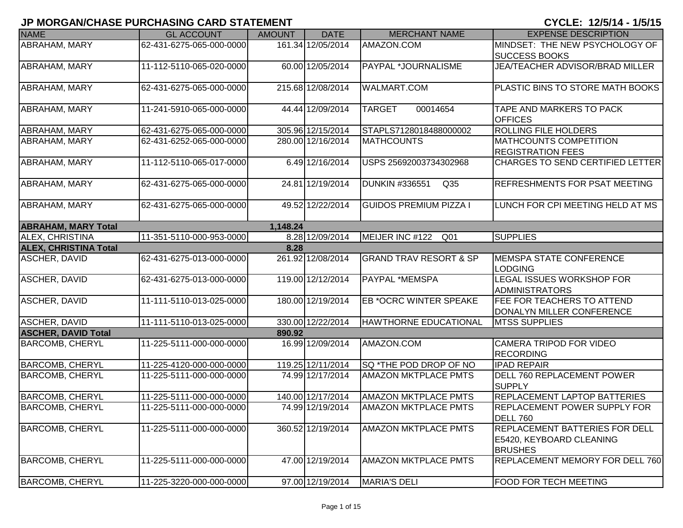| <b>NAME</b>                  | <b>GL ACCOUNT</b>        | <b>AMOUNT</b> | <b>DATE</b>       | <b>MERCHANT NAME</b>                     | <b>EXPENSE DESCRIPTION</b>                                                   |
|------------------------------|--------------------------|---------------|-------------------|------------------------------------------|------------------------------------------------------------------------------|
| <b>ABRAHAM, MARY</b>         | 62-431-6275-065-000-0000 |               | 161.34 12/05/2014 | AMAZON.COM                               | MINDSET: THE NEW PSYCHOLOGY OF<br><b>SUCCESS BOOKS</b>                       |
| <b>ABRAHAM, MARY</b>         | 11-112-5110-065-020-0000 |               | 60.00 12/05/2014  | PAYPAL *JOURNALISME                      | JEA/TEACHER ADVISOR/BRAD MILLER                                              |
| <b>ABRAHAM, MARY</b>         | 62-431-6275-065-000-0000 |               | 215.68 12/08/2014 | <b>WALMART.COM</b>                       | PLASTIC BINS TO STORE MATH BOOKS                                             |
| <b>ABRAHAM, MARY</b>         | 11-241-5910-065-000-0000 |               | 44.44 12/09/2014  | <b>TARGET</b><br>00014654                | TAPE AND MARKERS TO PACK<br><b>OFFICES</b>                                   |
| <b>ABRAHAM, MARY</b>         | 62-431-6275-065-000-0000 |               | 305.96 12/15/2014 | STAPLS7128018488000002                   | ROLLING FILE HOLDERS                                                         |
| <b>ABRAHAM, MARY</b>         | 62-431-6252-065-000-0000 |               | 280.00 12/16/2014 | <b>MATHCOUNTS</b>                        | <b>MATHCOUNTS COMPETITION</b><br><b>REGISTRATION FEES</b>                    |
| ABRAHAM, MARY                | 11-112-5110-065-017-0000 |               | 6.49 12/16/2014   | USPS 25692003734302968                   | CHARGES TO SEND CERTIFIED LETTER                                             |
| ABRAHAM, MARY                | 62-431-6275-065-000-0000 |               | 24.81 12/19/2014  | <b>DUNKIN #336551</b><br>Q <sub>35</sub> | REFRESHMENTS FOR PSAT MEETING                                                |
| <b>ABRAHAM, MARY</b>         | 62-431-6275-065-000-0000 |               | 49.52 12/22/2014  | <b>GUIDOS PREMIUM PIZZA I</b>            | LUNCH FOR CPI MEETING HELD AT MS                                             |
| <b>ABRAHAM, MARY Total</b>   |                          | 1,148.24      |                   |                                          |                                                                              |
| <b>ALEX, CHRISTINA</b>       | 11-351-5110-000-953-0000 |               | 8.28 12/09/2014   | MEIJER INC #122<br>Q <sub>01</sub>       | <b>SUPPLIES</b>                                                              |
| <b>ALEX, CHRISTINA Total</b> |                          | 8.28          |                   |                                          |                                                                              |
| <b>ASCHER, DAVID</b>         | 62-431-6275-013-000-0000 |               | 261.92 12/08/2014 | <b>GRAND TRAV RESORT &amp; SP</b>        | <b>MEMSPA STATE CONFERENCE</b><br><b>LODGING</b>                             |
| ASCHER, DAVID                | 62-431-6275-013-000-0000 |               | 119.00 12/12/2014 | PAYPAL *MEMSPA                           | <b>LEGAL ISSUES WORKSHOP FOR</b><br><b>ADMINISTRATORS</b>                    |
| <b>ASCHER, DAVID</b>         | 11-111-5110-013-025-0000 |               | 180.00 12/19/2014 | <b>EB *OCRC WINTER SPEAKE</b>            | FEE FOR TEACHERS TO ATTEND<br>DONALYN MILLER CONFERENCE                      |
| <b>ASCHER, DAVID</b>         | 11-111-5110-013-025-0000 |               | 330.00 12/22/2014 | <b>HAWTHORNE EDUCATIONAL</b>             | <b>MTSS SUPPLIES</b>                                                         |
| <b>ASCHER, DAVID Total</b>   |                          | 890.92        |                   |                                          |                                                                              |
| <b>BARCOMB, CHERYL</b>       | 11-225-5111-000-000-0000 |               | 16.99 12/09/2014  | AMAZON.COM                               | CAMERA TRIPOD FOR VIDEO<br><b>RECORDING</b>                                  |
| <b>BARCOMB, CHERYL</b>       | 11-225-4120-000-000-0000 |               | 119.25 12/11/2014 | SQ *THE POD DROP OF NO                   | <b>IPAD REPAIR</b>                                                           |
| <b>BARCOMB, CHERYL</b>       | 11-225-5111-000-000-0000 |               | 74.99 12/17/2014  | <b>AMAZON MKTPLACE PMTS</b>              | DELL 760 REPLACEMENT POWER<br><b>SUPPLY</b>                                  |
| <b>BARCOMB, CHERYL</b>       | 11-225-5111-000-000-0000 |               | 140.00 12/17/2014 | <b>AMAZON MKTPLACE PMTS</b>              | <b>REPLACEMENT LAPTOP BATTERIES</b>                                          |
| <b>BARCOMB, CHERYL</b>       | 11-225-5111-000-000-0000 |               | 74.99 12/19/2014  | <b>AMAZON MKTPLACE PMTS</b>              | <b>REPLACEMENT POWER SUPPLY FOR</b><br><b>DELL 760</b>                       |
| <b>BARCOMB, CHERYL</b>       | 11-225-5111-000-000-0000 |               | 360.52 12/19/2014 | <b>AMAZON MKTPLACE PMTS</b>              | REPLACEMENT BATTERIES FOR DELL<br>E5420, KEYBOARD CLEANING<br><b>BRUSHES</b> |
| <b>BARCOMB, CHERYL</b>       | 11-225-5111-000-000-0000 |               | 47.00 12/19/2014  | <b>AMAZON MKTPLACE PMTS</b>              | REPLACEMENT MEMORY FOR DELL 760                                              |
| <b>BARCOMB, CHERYL</b>       | 11-225-3220-000-000-0000 |               | 97.00 12/19/2014  | MARIA'S DELI                             | <b>FOOD FOR TECH MEETING</b>                                                 |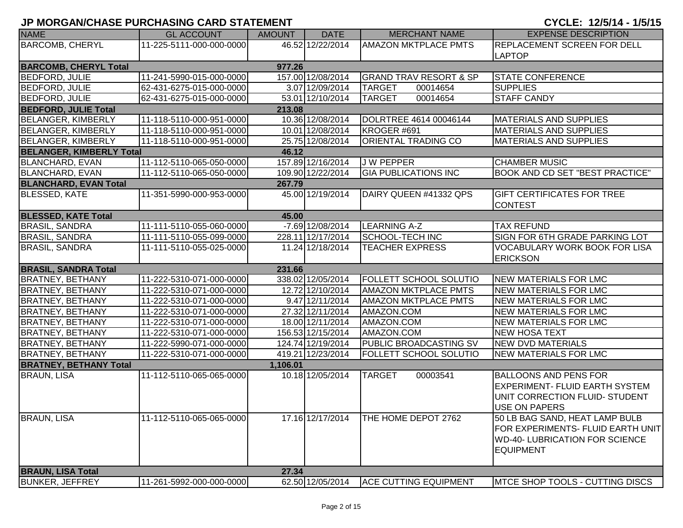| <b>NAME</b>                     | <b>GL ACCOUNT</b>        | <b>AMOUNT</b> | <b>DATE</b>        | <b>MERCHANT NAME</b>              | <b>EXPENSE DESCRIPTION</b>             |
|---------------------------------|--------------------------|---------------|--------------------|-----------------------------------|----------------------------------------|
| <b>BARCOMB, CHERYL</b>          | 11-225-5111-000-000-0000 |               | 46.52 12/22/2014   | <b>AMAZON MKTPLACE PMTS</b>       | REPLACEMENT SCREEN FOR DELL            |
|                                 |                          |               |                    |                                   | <b>LAPTOP</b>                          |
| <b>BARCOMB, CHERYL Total</b>    |                          | 977.26        |                    |                                   |                                        |
| <b>BEDFORD, JULIE</b>           | 11-241-5990-015-000-0000 |               | 157.00 12/08/2014  | <b>GRAND TRAV RESORT &amp; SP</b> | <b>STATE CONFERENCE</b>                |
| <b>BEDFORD, JULIE</b>           | 62-431-6275-015-000-0000 |               | 3.07 12/09/2014    | <b>TARGET</b><br>00014654         | <b>SUPPLIES</b>                        |
| BEDFORD, JULIE                  | 62-431-6275-015-000-0000 |               | 53.01 12/10/2014   | <b>TARGET</b><br>00014654         | <b>STAFF CANDY</b>                     |
| <b>BEDFORD, JULIE Total</b>     |                          | 213.08        |                    |                                   |                                        |
| <b>BELANGER, KIMBERLY</b>       | 11-118-5110-000-951-0000 |               | 10.36 12/08/2014   | DOLRTREE 4614 00046144            | <b>MATERIALS AND SUPPLIES</b>          |
| <b>BELANGER, KIMBERLY</b>       | 11-118-5110-000-951-0000 |               | 10.01 12/08/2014   | KROGER #691                       | <b>MATERIALS AND SUPPLIES</b>          |
| <b>BELANGER, KIMBERLY</b>       | 11-118-5110-000-951-0000 |               | 25.75 12/08/2014   | <b>ORIENTAL TRADING CO</b>        | <b>MATERIALS AND SUPPLIES</b>          |
| <b>BELANGER, KIMBERLY Total</b> |                          | 46.12         |                    |                                   |                                        |
| <b>BLANCHARD, EVAN</b>          | 11-112-5110-065-050-0000 |               | 157.89 12/16/2014  | J W PEPPER                        | <b>CHAMBER MUSIC</b>                   |
| <b>BLANCHARD, EVAN</b>          | 11-112-5110-065-050-0000 |               | 109.90 12/22/2014  | <b>GIA PUBLICATIONS INC</b>       | <b>BOOK AND CD SET "BEST PRACTICE"</b> |
| <b>BLANCHARD, EVAN Total</b>    |                          | 267.79        |                    |                                   |                                        |
| <b>BLESSED, KATE</b>            | 11-351-5990-000-953-0000 |               | 45.00 12/19/2014   | DAIRY QUEEN #41332 QPS            | GIFT CERTIFICATES FOR TREE             |
|                                 |                          |               |                    |                                   | <b>CONTEST</b>                         |
| <b>BLESSED, KATE Total</b>      |                          | 45.00         |                    |                                   |                                        |
| <b>BRASIL, SANDRA</b>           | 11-111-5110-055-060-0000 |               | $-7.69$ 12/08/2014 | <b>LEARNING A-Z</b>               | <b>TAX REFUND</b>                      |
| <b>BRASIL, SANDRA</b>           | 11-111-5110-055-099-0000 |               | 228.11 12/17/2014  | SCHOOL-TECH INC                   | SIGN FOR 6TH GRADE PARKING LOT         |
| <b>BRASIL, SANDRA</b>           | 11-111-5110-055-025-0000 |               | 11.24 12/18/2014   | <b>TEACHER EXPRESS</b>            | <b>VOCABULARY WORK BOOK FOR LISA</b>   |
|                                 |                          |               |                    |                                   | <b>ERICKSON</b>                        |
| <b>BRASIL, SANDRA Total</b>     |                          | 231.66        |                    |                                   |                                        |
| <b>BRATNEY, BETHANY</b>         | 11-222-5310-071-000-0000 |               | 338.02 12/05/2014  | <b>FOLLETT SCHOOL SOLUTIO</b>     | <b>NEW MATERIALS FOR LMC</b>           |
| <b>BRATNEY, BETHANY</b>         | 11-222-5310-071-000-0000 |               | 12.72 12/10/2014   | <b>AMAZON MKTPLACE PMTS</b>       | NEW MATERIALS FOR LMC                  |
| <b>BRATNEY, BETHANY</b>         | 11-222-5310-071-000-0000 |               | 9.47 12/11/2014    | <b>AMAZON MKTPLACE PMTS</b>       | NEW MATERIALS FOR LMC                  |
| <b>BRATNEY, BETHANY</b>         | 11-222-5310-071-000-0000 |               | 27.32 12/11/2014   | AMAZON.COM                        | <b>NEW MATERIALS FOR LMC</b>           |
| <b>BRATNEY, BETHANY</b>         | 11-222-5310-071-000-0000 |               | 18.00 12/11/2014   | AMAZON.COM                        | <b>NEW MATERIALS FOR LMC</b>           |
| <b>BRATNEY, BETHANY</b>         | 11-222-5310-071-000-0000 |               | 156.53 12/15/2014  | AMAZON.COM                        | <b>NEW HOSA TEXT</b>                   |
| <b>BRATNEY, BETHANY</b>         | 11-222-5990-071-000-0000 |               | 124.74 12/19/2014  | PUBLIC BROADCASTING SV            | <b>NEW DVD MATERIALS</b>               |
| <b>BRATNEY, BETHANY</b>         | 11-222-5310-071-000-0000 |               | 419.21 12/23/2014  | <b>FOLLETT SCHOOL SOLUTIO</b>     | <b>NEW MATERIALS FOR LMC</b>           |
| <b>BRATNEY, BETHANY Total</b>   |                          | 1,106.01      |                    |                                   |                                        |
| <b>BRAUN, LISA</b>              | 11-112-5110-065-065-0000 |               | 10.18 12/05/2014   | <b>TARGET</b><br>00003541         | <b>BALLOONS AND PENS FOR</b>           |
|                                 |                          |               |                    |                                   | <b>EXPERIMENT- FLUID EARTH SYSTEM</b>  |
|                                 |                          |               |                    |                                   | UNIT CORRECTION FLUID- STUDENT         |
|                                 |                          |               |                    |                                   | <b>USE ON PAPERS</b>                   |
| <b>BRAUN, LISA</b>              | 11-112-5110-065-065-0000 |               | 17.16 12/17/2014   | THE HOME DEPOT 2762               | 50 LB BAG SAND, HEAT LAMP BULB         |
|                                 |                          |               |                    |                                   | FOR EXPERIMENTS- FLUID EARTH UNIT      |
|                                 |                          |               |                    |                                   | <b>WD-40- LUBRICATION FOR SCIENCE</b>  |
|                                 |                          |               |                    |                                   | <b>EQUIPMENT</b>                       |
|                                 |                          |               |                    |                                   |                                        |
| <b>BRAUN, LISA Total</b>        |                          | 27.34         |                    |                                   |                                        |
| <b>BUNKER, JEFFREY</b>          | 11-261-5992-000-000-0000 |               | 62.50 12/05/2014   | <b>ACE CUTTING EQUIPMENT</b>      | <b>MTCE SHOP TOOLS - CUTTING DISCS</b> |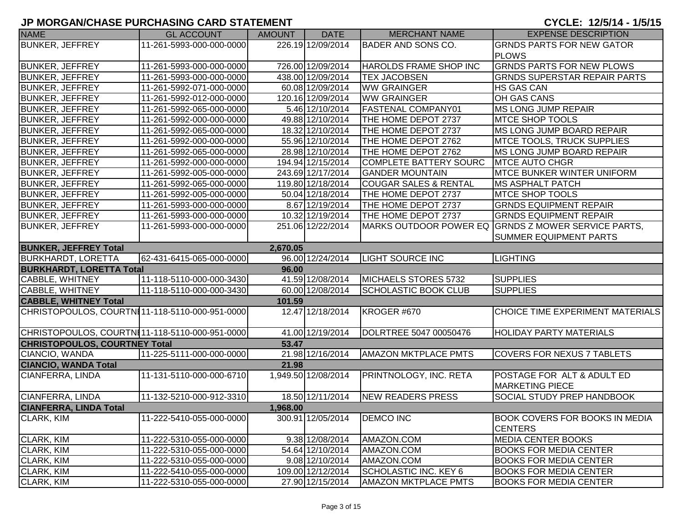| <b>NAME</b>                                    | <b>GL ACCOUNT</b>        | <b>AMOUNT</b> | <b>DATE</b>         | <b>MERCHANT NAME</b>             | <b>EXPENSE DESCRIPTION</b>                              |
|------------------------------------------------|--------------------------|---------------|---------------------|----------------------------------|---------------------------------------------------------|
| <b>BUNKER, JEFFREY</b>                         | 11-261-5993-000-000-0000 |               | 226.19 12/09/2014   | <b>BADER AND SONS CO.</b>        | <b>GRNDS PARTS FOR NEW GATOR</b>                        |
|                                                |                          |               |                     |                                  | <b>PLOWS</b>                                            |
| <b>BUNKER, JEFFREY</b>                         | 11-261-5993-000-000-0000 |               | 726.00 12/09/2014   | HAROLDS FRAME SHOP INC           | <b>GRNDS PARTS FOR NEW PLOWS</b>                        |
| <b>BUNKER, JEFFREY</b>                         | 11-261-5993-000-000-0000 |               | 438.00 12/09/2014   | <b>TEX JACOBSEN</b>              | <b>GRNDS SUPERSTAR REPAIR PARTS</b>                     |
| <b>BUNKER, JEFFREY</b>                         | 11-261-5992-071-000-0000 |               | 60.08 12/09/2014    | <b>WW GRAINGER</b>               | <b>HS GAS CAN</b>                                       |
| <b>BUNKER, JEFFREY</b>                         | 11-261-5992-012-000-0000 |               | 120.16 12/09/2014   | <b>WW GRAINGER</b>               | OH GAS CANS                                             |
| <b>BUNKER, JEFFREY</b>                         | 11-261-5992-065-000-0000 |               | 5.46 12/10/2014     | <b>FASTENAL COMPANY01</b>        | <b>MS LONG JUMP REPAIR</b>                              |
| <b>BUNKER, JEFFREY</b>                         | 11-261-5992-000-000-0000 |               | 49.88 12/10/2014    | THE HOME DEPOT 2737              | <b>MTCE SHOP TOOLS</b>                                  |
| <b>BUNKER, JEFFREY</b>                         | 11-261-5992-065-000-0000 |               | 18.32 12/10/2014    | THE HOME DEPOT 2737              | MS LONG JUMP BOARD REPAIR                               |
| <b>BUNKER, JEFFREY</b>                         | 11-261-5992-000-000-0000 |               | 55.96 12/10/2014    | THE HOME DEPOT 2762              | MTCE TOOLS, TRUCK SUPPLIES                              |
| <b>BUNKER, JEFFREY</b>                         | 11-261-5992-065-000-0000 |               | 28.98 12/10/2014    | THE HOME DEPOT 2762              | <b>MS LONG JUMP BOARD REPAIR</b>                        |
| <b>BUNKER, JEFFREY</b>                         | 11-261-5992-000-000-0000 |               | 194.94 12/15/2014   | COMPLETE BATTERY SOURC           | <b>MTCE AUTO CHGR</b>                                   |
| <b>BUNKER, JEFFREY</b>                         | 11-261-5992-005-000-0000 |               | 243.69 12/17/2014   | <b>GANDER MOUNTAIN</b>           | <b>MTCE BUNKER WINTER UNIFORM</b>                       |
| <b>BUNKER, JEFFREY</b>                         | 11-261-5992-065-000-0000 |               | 119.80 12/18/2014   | <b>COUGAR SALES &amp; RENTAL</b> | <b>MS ASPHALT PATCH</b>                                 |
| <b>BUNKER, JEFFREY</b>                         | 11-261-5992-005-000-0000 |               | 50.04 12/18/2014    | THE HOME DEPOT 2737              | <b>MTCE SHOP TOOLS</b>                                  |
| <b>BUNKER, JEFFREY</b>                         | 11-261-5993-000-000-0000 |               | 8.67 12/19/2014     | THE HOME DEPOT 2737              | <b>GRNDS EQUIPMENT REPAIR</b>                           |
| <b>BUNKER, JEFFREY</b>                         | 11-261-5993-000-000-0000 |               | 10.32 12/19/2014    | THE HOME DEPOT 2737              | <b>GRNDS EQUIPMENT REPAIR</b>                           |
| <b>BUNKER, JEFFREY</b>                         | 11-261-5993-000-000-0000 |               | 251.06 12/22/2014   |                                  | MARKS OUTDOOR POWER EQ GRNDS Z MOWER SERVICE PARTS,     |
|                                                |                          |               |                     |                                  | <b>SUMMER EQUIPMENT PARTS</b>                           |
| <b>BUNKER, JEFFREY Total</b>                   |                          | 2,670.05      |                     |                                  |                                                         |
| <b>BURKHARDT, LORETTA</b>                      | 62-431-6415-065-000-0000 |               | 96.00 12/24/2014    | <b>LIGHT SOURCE INC</b>          | <b>LIGHTING</b>                                         |
| <b>BURKHARDT, LORETTA Total</b>                |                          | 96.00         |                     |                                  |                                                         |
| <b>CABBLE, WHITNEY</b>                         | 11-118-5110-000-000-3430 |               | 41.59 12/08/2014    | MICHAELS STORES 5732             | <b>SUPPLIES</b>                                         |
| <b>CABBLE, WHITNEY</b>                         | 11-118-5110-000-000-3430 |               | 60.00 12/08/2014    | <b>SCHOLASTIC BOOK CLUB</b>      | <b>SUPPLIES</b>                                         |
| <b>CABBLE, WHITNEY Total</b>                   |                          | 101.59        |                     |                                  |                                                         |
| CHRISTOPOULOS, COURTNI11-118-5110-000-951-0000 |                          |               | 12.47 12/18/2014    | KROGER #670                      | CHOICE TIME EXPERIMENT MATERIALS                        |
| CHRISTOPOULOS, COURTN111-118-5110-000-951-0000 |                          |               | 41.00 12/19/2014    | DOLRTREE 5047 00050476           | <b>HOLIDAY PARTY MATERIALS</b>                          |
| <b>CHRISTOPOULOS, COURTNEY Total</b>           |                          | 53.47         |                     |                                  |                                                         |
| CIANCIO, WANDA                                 | 11-225-5111-000-000-0000 |               | 21.98 12/16/2014    | <b>AMAZON MKTPLACE PMTS</b>      | <b>COVERS FOR NEXUS 7 TABLETS</b>                       |
| <b>CIANCIO, WANDA Total</b>                    |                          | 21.98         |                     |                                  |                                                         |
| CIANFERRA, LINDA                               | 11-131-5110-000-000-6710 |               | 1,949.50 12/08/2014 | PRINTNOLOGY, INC. RETA           | POSTAGE FOR ALT & ADULT ED                              |
|                                                |                          |               |                     |                                  | <b>MARKETING PIECE</b>                                  |
| CIANFERRA, LINDA                               | 11-132-5210-000-912-3310 |               | 18.50 12/11/2014    | NEW READERS PRESS                | <b>SOCIAL STUDY PREP HANDBOOK</b>                       |
| <b>CIANFERRA, LINDA Total</b>                  |                          | 1,968.00      |                     |                                  |                                                         |
| <b>CLARK, KIM</b>                              | 11-222-5410-055-000-0000 |               | 300.91 12/05/2014   | <b>DEMCO INC</b>                 | <b>BOOK COVERS FOR BOOKS IN MEDIA</b><br><b>CENTERS</b> |
| CLARK, KIM                                     | 11-222-5310-055-000-0000 |               | 9.38 12/08/2014     | AMAZON.COM                       | <b>MEDIA CENTER BOOKS</b>                               |
| <b>CLARK, KIM</b>                              | 11-222-5310-055-000-0000 |               | 54.64 12/10/2014    | AMAZON.COM                       | <b>BOOKS FOR MEDIA CENTER</b>                           |
| CLARK, KIM                                     | 11-222-5310-055-000-0000 |               | 9.08 12/10/2014     | AMAZON.COM                       | <b>BOOKS FOR MEDIA CENTER</b>                           |
| CLARK, KIM                                     | 11-222-5410-055-000-0000 |               | 109.00 12/12/2014   | SCHOLASTIC INC. KEY 6            | <b>BOOKS FOR MEDIA CENTER</b>                           |
| CLARK, KIM                                     | 11-222-5310-055-000-0000 |               | 27.90 12/15/2014    | <b>AMAZON MKTPLACE PMTS</b>      | <b>BOOKS FOR MEDIA CENTER</b>                           |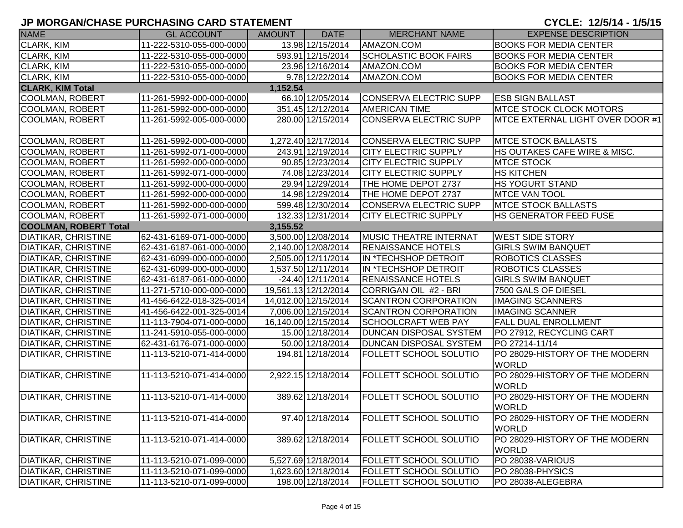| <b>NAME</b>                  | <b>GL ACCOUNT</b>        | <b>AMOUNT</b> | <b>DATE</b>          | <b>MERCHANT NAME</b>          | <b>EXPENSE DESCRIPTION</b>                     |
|------------------------------|--------------------------|---------------|----------------------|-------------------------------|------------------------------------------------|
| <b>CLARK, KIM</b>            | 11-222-5310-055-000-0000 |               | 13.98 12/15/2014     | AMAZON.COM                    | <b>BOOKS FOR MEDIA CENTER</b>                  |
| CLARK, KIM                   | 11-222-5310-055-000-0000 |               | 593.91 12/15/2014    | <b>SCHOLASTIC BOOK FAIRS</b>  | <b>BOOKS FOR MEDIA CENTER</b>                  |
| CLARK, KIM                   | 11-222-5310-055-000-0000 |               | 23.96 12/16/2014     | AMAZON.COM                    | <b>BOOKS FOR MEDIA CENTER</b>                  |
| CLARK, KIM                   | 11-222-5310-055-000-0000 |               | 9.78 12/22/2014      | AMAZON.COM                    | <b>BOOKS FOR MEDIA CENTER</b>                  |
| <b>CLARK, KIM Total</b>      |                          | 1,152.54      |                      |                               |                                                |
| <b>COOLMAN, ROBERT</b>       | 11-261-5992-000-000-0000 |               | 66.10 12/05/2014     | CONSERVA ELECTRIC SUPP        | <b>ESB SIGN BALLAST</b>                        |
| <b>COOLMAN, ROBERT</b>       | 11-261-5992-000-000-0000 |               | 351.45 12/12/2014    | <b>AMERICAN TIME</b>          | <b>IMTCE STOCK CLOCK MOTORS</b>                |
| <b>COOLMAN, ROBERT</b>       | 11-261-5992-005-000-0000 |               | 280.00 12/15/2014    | CONSERVA ELECTRIC SUPP        | MTCE EXTERNAL LIGHT OVER DOOR #1               |
| <b>COOLMAN, ROBERT</b>       | 11-261-5992-000-000-0000 |               | 1,272.40 12/17/2014  | CONSERVA ELECTRIC SUPP        | <b>MTCE STOCK BALLASTS</b>                     |
| <b>COOLMAN, ROBERT</b>       | 11-261-5992-071-000-0000 |               | 243.91 12/19/2014    | <b>CITY ELECTRIC SUPPLY</b>   | <b>HS OUTAKES CAFE WIRE &amp; MISC.</b>        |
| <b>COOLMAN, ROBERT</b>       | 11-261-5992-000-000-0000 |               | 90.85 12/23/2014     | <b>CITY ELECTRIC SUPPLY</b>   | <b>MTCE STOCK</b>                              |
| <b>COOLMAN, ROBERT</b>       | 11-261-5992-071-000-0000 |               | 74.08 12/23/2014     | <b>CITY ELECTRIC SUPPLY</b>   | <b>HS KITCHEN</b>                              |
| <b>COOLMAN, ROBERT</b>       | 11-261-5992-000-000-0000 |               | 29.94 12/29/2014     | THE HOME DEPOT 2737           | <b>HS YOGURT STAND</b>                         |
| <b>COOLMAN, ROBERT</b>       | 11-261-5992-000-000-0000 |               | 14.98 12/29/2014     | THE HOME DEPOT 2737           | <b>MTCE VAN TOOL</b>                           |
| <b>COOLMAN, ROBERT</b>       | 11-261-5992-000-000-0000 |               | 599.48 12/30/2014    | CONSERVA ELECTRIC SUPP        | <b>MTCE STOCK BALLASTS</b>                     |
| <b>COOLMAN, ROBERT</b>       | 11-261-5992-071-000-0000 |               | 132.33 12/31/2014    | <b>CITY ELECTRIC SUPPLY</b>   | <b>HS GENERATOR FEED FUSE</b>                  |
| <b>COOLMAN, ROBERT Total</b> |                          | 3,155.52      |                      |                               |                                                |
| <b>DIATIKAR, CHRISTINE</b>   | 62-431-6169-071-000-0000 |               | 3,500.00 12/08/2014  | <b>MUSIC THEATRE INTERNAT</b> | <b>WEST SIDE STORY</b>                         |
| <b>DIATIKAR, CHRISTINE</b>   | 62-431-6187-061-000-0000 |               | 2,140.00 12/08/2014  | <b>RENAISSANCE HOTELS</b>     | <b>GIRLS SWIM BANQUET</b>                      |
| <b>DIATIKAR, CHRISTINE</b>   | 62-431-6099-000-000-0000 |               | 2,505.00 12/11/2014  | IN *TECHSHOP DETROIT          | <b>ROBOTICS CLASSES</b>                        |
| <b>DIATIKAR, CHRISTINE</b>   | 62-431-6099-000-000-0000 |               | 1,537.50 12/11/2014  | IN *TECHSHOP DETROIT          | <b>ROBOTICS CLASSES</b>                        |
| <b>DIATIKAR, CHRISTINE</b>   | 62-431-6187-061-000-0000 |               | $-24.40$ 12/11/2014  | <b>RENAISSANCE HOTELS</b>     | <b>GIRLS SWIM BANQUET</b>                      |
| <b>DIATIKAR, CHRISTINE</b>   | 11-271-5710-000-000-0000 |               | 19,561.13 12/12/2014 | CORRIGAN OIL #2 - BRI         | 7500 GALS OF DIESEL                            |
| <b>DIATIKAR, CHRISTINE</b>   | 41-456-6422-018-325-0014 |               | 14,012.00 12/15/2014 | <b>SCANTRON CORPORATION</b>   | <b>IMAGING SCANNERS</b>                        |
| <b>DIATIKAR, CHRISTINE</b>   | 41-456-6422-001-325-0014 |               | 7,006.00 12/15/2014  | <b>SCANTRON CORPORATION</b>   | <b>IMAGING SCANNER</b>                         |
| <b>DIATIKAR, CHRISTINE</b>   | 11-113-7904-071-000-0000 |               | 16,140.00 12/15/2014 | <b>SCHOOLCRAFT WEB PAY</b>    | <b>FALL DUAL ENROLLMENT</b>                    |
| <b>DIATIKAR, CHRISTINE</b>   | 11-241-5910-055-000-0000 |               | 15.00 12/18/2014     | <b>DUNCAN DISPOSAL SYSTEM</b> | PO 27912, RECYCLING CART                       |
| <b>DIATIKAR, CHRISTINE</b>   | 62-431-6176-071-000-0000 |               | 50.00 12/18/2014     | <b>DUNCAN DISPOSAL SYSTEM</b> | PO 27214-11/14                                 |
| DIATIKAR, CHRISTINE          | 11-113-5210-071-414-0000 |               | 194.81 12/18/2014    | <b>FOLLETT SCHOOL SOLUTIO</b> | PO 28029-HISTORY OF THE MODERN<br><b>WORLD</b> |
| <b>DIATIKAR, CHRISTINE</b>   | 11-113-5210-071-414-0000 |               | 2,922.15 12/18/2014  | FOLLETT SCHOOL SOLUTIO        | PO 28029-HISTORY OF THE MODERN<br><b>WORLD</b> |
| <b>DIATIKAR, CHRISTINE</b>   | 11-113-5210-071-414-0000 |               | 389.62 12/18/2014    | <b>FOLLETT SCHOOL SOLUTIO</b> | PO 28029-HISTORY OF THE MODERN<br><b>WORLD</b> |
| <b>DIATIKAR, CHRISTINE</b>   | 11-113-5210-071-414-0000 |               | 97.40 12/18/2014     | <b>FOLLETT SCHOOL SOLUTIO</b> | PO 28029-HISTORY OF THE MODERN<br><b>WORLD</b> |
| <b>DIATIKAR, CHRISTINE</b>   | 11-113-5210-071-414-0000 |               | 389.62 12/18/2014    | <b>FOLLETT SCHOOL SOLUTIO</b> | PO 28029-HISTORY OF THE MODERN<br><b>WORLD</b> |
| <b>DIATIKAR, CHRISTINE</b>   | 11-113-5210-071-099-0000 |               | 5,527.69 12/18/2014  | <b>FOLLETT SCHOOL SOLUTIO</b> | PO 28038-VARIOUS                               |
| <b>DIATIKAR, CHRISTINE</b>   | 11-113-5210-071-099-0000 |               | 1,623.60 12/18/2014  | <b>FOLLETT SCHOOL SOLUTIO</b> | PO 28038-PHYSICS                               |
| <b>DIATIKAR, CHRISTINE</b>   | 11-113-5210-071-099-0000 |               | 198.00 12/18/2014    | <b>FOLLETT SCHOOL SOLUTIO</b> | PO 28038-ALEGEBRA                              |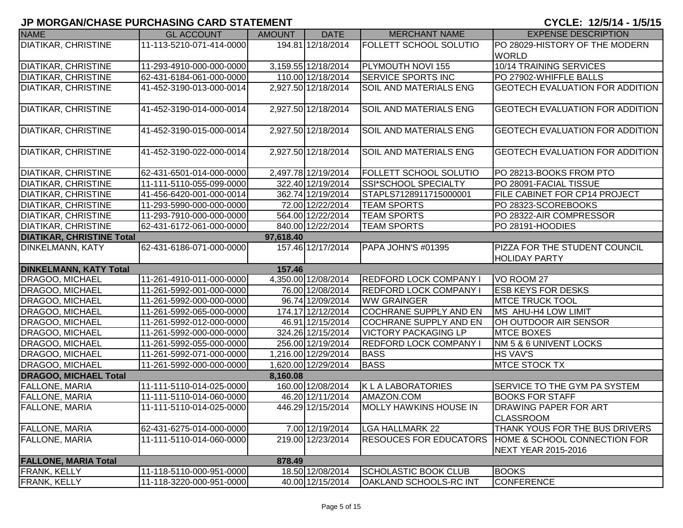| <b>NAME</b>                      | <b>GL ACCOUNT</b>        | <b>AMOUNT</b> | <b>DATE</b>         | <b>MERCHANT NAME</b>          | <b>EXPENSE DESCRIPTION</b>                       |
|----------------------------------|--------------------------|---------------|---------------------|-------------------------------|--------------------------------------------------|
| <b>DIATIKAR, CHRISTINE</b>       | 11-113-5210-071-414-0000 |               | 194.81 12/18/2014   | <b>FOLLETT SCHOOL SOLUTIO</b> | PO 28029-HISTORY OF THE MODERN                   |
|                                  |                          |               |                     |                               | <b>WORLD</b>                                     |
| <b>DIATIKAR, CHRISTINE</b>       | 11-293-4910-000-000-0000 |               | 3,159.55 12/18/2014 | PLYMOUTH NOVI 155             | <b>10/14 TRAINING SERVICES</b>                   |
| <b>DIATIKAR, CHRISTINE</b>       | 62-431-6184-061-000-0000 |               | 110.00 12/18/2014   | <b>SERVICE SPORTS INC</b>     | PO 27902-WHIFFLE BALLS                           |
| <b>DIATIKAR, CHRISTINE</b>       | 41-452-3190-013-000-0014 |               | 2,927.50 12/18/2014 | <b>SOIL AND MATERIALS ENG</b> | <b>GEOTECH EVALUATION FOR ADDITION</b>           |
|                                  |                          |               |                     |                               |                                                  |
| <b>DIATIKAR, CHRISTINE</b>       | 41-452-3190-014-000-0014 |               | 2,927.50 12/18/2014 | <b>SOIL AND MATERIALS ENG</b> | <b>GEOTECH EVALUATION FOR ADDITION</b>           |
|                                  |                          |               |                     |                               |                                                  |
| <b>DIATIKAR, CHRISTINE</b>       | 41-452-3190-015-000-0014 |               | 2,927.50 12/18/2014 | SOIL AND MATERIALS ENG        | <b>GEOTECH EVALUATION FOR ADDITION</b>           |
| <b>DIATIKAR, CHRISTINE</b>       | 41-452-3190-022-000-0014 |               | 2,927.50 12/18/2014 | <b>SOIL AND MATERIALS ENG</b> | <b>GEOTECH EVALUATION FOR ADDITION</b>           |
|                                  |                          |               |                     |                               |                                                  |
| <b>DIATIKAR, CHRISTINE</b>       | 62-431-6501-014-000-0000 |               | 2,497.78 12/19/2014 | <b>FOLLETT SCHOOL SOLUTIO</b> | PO 28213-BOOKS FROM PTO                          |
| <b>DIATIKAR, CHRISTINE</b>       | 11-111-5110-055-099-0000 |               | 322.40 12/19/2014   | SSI*SCHOOL SPECIALTY          | PO 28091-FACIAL TISSUE                           |
| <b>DIATIKAR, CHRISTINE</b>       | 41-456-6420-001-000-0014 |               | 362.74 12/19/2014   | STAPLS7128911715000001        | <b>FILE CABINET FOR CP14 PROJECT</b>             |
| <b>DIATIKAR, CHRISTINE</b>       | 11-293-5990-000-000-0000 |               | 72.00 12/22/2014    | <b>TEAM SPORTS</b>            | PO 28323-SCOREBOOKS                              |
| <b>DIATIKAR, CHRISTINE</b>       | 11-293-7910-000-000-0000 |               | 564.00 12/22/2014   | <b>TEAM SPORTS</b>            | PO 28322-AIR COMPRESSOR                          |
| <b>DIATIKAR, CHRISTINE</b>       | 62-431-6172-061-000-0000 |               | 840.00 12/22/2014   | <b>TEAM SPORTS</b>            | PO 28191-HOODIES                                 |
| <b>DIATIKAR, CHRISTINE Total</b> |                          | 97,618.40     |                     |                               |                                                  |
| <b>DINKELMANN, KATY</b>          | 62-431-6186-071-000-0000 |               | 157.46 12/17/2014   | PAPA JOHN'S #01395            | PIZZA FOR THE STUDENT COUNCIL                    |
|                                  |                          |               |                     |                               | <b>HOLIDAY PARTY</b>                             |
| <b>DINKELMANN, KATY Total</b>    |                          | 157.46        |                     |                               |                                                  |
| DRAGOO, MICHAEL                  | 11-261-4910-011-000-0000 |               | 4,350.00 12/08/2014 | <b>REDFORD LOCK COMPANY I</b> | VO ROOM 27                                       |
| <b>DRAGOO, MICHAEL</b>           | 11-261-5992-001-000-0000 |               | 76.00 12/08/2014    | <b>REDFORD LOCK COMPANY I</b> | <b>ESB KEYS FOR DESKS</b>                        |
| DRAGOO, MICHAEL                  | 11-261-5992-000-000-0000 |               | 96.74 12/09/2014    | <b>WW GRAINGER</b>            | <b>MTCE TRUCK TOOL</b>                           |
| DRAGOO, MICHAEL                  | 11-261-5992-065-000-0000 |               | 174.17 12/12/2014   | <b>COCHRANE SUPPLY AND EN</b> | MS AHU-H4 LOW LIMIT                              |
| DRAGOO, MICHAEL                  | 11-261-5992-012-000-0000 |               | 46.91 12/15/2014    | <b>COCHRANE SUPPLY AND EN</b> | OH OUTDOOR AIR SENSOR                            |
| <b>DRAGOO, MICHAEL</b>           | 11-261-5992-000-000-0000 |               | 324.26 12/15/2014   | <b>VICTORY PACKAGING LP</b>   | <b>MTCE BOXES</b>                                |
| DRAGOO, MICHAEL                  | 11-261-5992-055-000-0000 |               | 256.00 12/19/2014   | <b>REDFORD LOCK COMPANY I</b> | NM 5 & 6 UNIVENT LOCKS                           |
| DRAGOO, MICHAEL                  | 11-261-5992-071-000-0000 |               | 1,216.00 12/29/2014 | <b>BASS</b>                   | <b>HS VAV'S</b>                                  |
| DRAGOO, MICHAEL                  | 11-261-5992-000-000-0000 |               | 1,620.00 12/29/2014 | <b>BASS</b>                   | <b>MTCE STOCK TX</b>                             |
| <b>DRAGOO, MICHAEL Total</b>     |                          | 8,160.08      |                     |                               |                                                  |
| <b>FALLONE, MARIA</b>            | 11-111-5110-014-025-0000 |               | 160.00 12/08/2014   | <b>KLALABORATORIES</b>        | <b>SERVICE TO THE GYM PA SYSTEM</b>              |
| FALLONE, MARIA                   | 11-111-5110-014-060-0000 |               | 46.20 12/11/2014    | AMAZON.COM                    | <b>BOOKS FOR STAFF</b>                           |
| <b>FALLONE, MARIA</b>            | 11-111-5110-014-025-0000 |               | 446.29 12/15/2014   | <b>MOLLY HAWKINS HOUSE IN</b> | <b>DRAWING PAPER FOR ART</b><br><b>CLASSROOM</b> |
| <b>FALLONE, MARIA</b>            | 62-431-6275-014-000-0000 |               | 7.00 12/19/2014     | <b>LGA HALLMARK 22</b>        | THANK YOUS FOR THE BUS DRIVERS                   |
| <b>FALLONE, MARIA</b>            | 11-111-5110-014-060-0000 |               | 219.00 12/23/2014   | <b>RESOUCES FOR EDUCATORS</b> | <b>HOME &amp; SCHOOL CONNECTION FOR</b>          |
|                                  |                          |               |                     |                               | NEXT YEAR 2015-2016                              |
| <b>FALLONE, MARIA Total</b>      |                          | 878.49        |                     |                               |                                                  |
| <b>FRANK, KELLY</b>              | 11-118-5110-000-951-0000 |               | 18.50 12/08/2014    | <b>SCHOLASTIC BOOK CLUB</b>   | <b>BOOKS</b>                                     |
| <b>FRANK, KELLY</b>              | 11-118-3220-000-951-0000 |               | 40.00 12/15/2014    | <b>OAKLAND SCHOOLS-RC INT</b> | CONFERENCE                                       |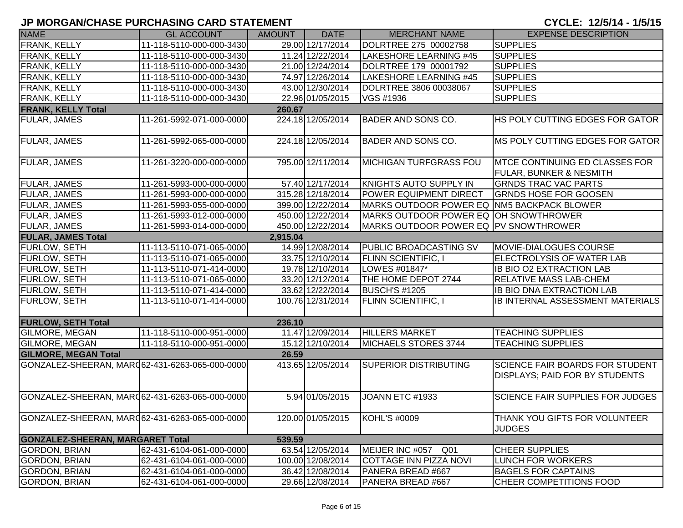## **JP MORGAN/CHASE PURCHASING CARD STATEMENT**

CYCLE: 12/5/14 - 1/5/15

| <b>NAME</b>                                    | <b>GL ACCOUNT</b>        | <b>AMOUNT</b> | <b>DATE</b>       | <b>MERCHANT NAME</b>                       | <b>EXPENSE DESCRIPTION</b>                                                      |
|------------------------------------------------|--------------------------|---------------|-------------------|--------------------------------------------|---------------------------------------------------------------------------------|
| <b>FRANK, KELLY</b>                            | 11-118-5110-000-000-3430 |               | 29.00 12/17/2014  | DOLRTREE 275 00002758                      | <b>SUPPLIES</b>                                                                 |
| FRANK, KELLY                                   | 11-118-5110-000-000-3430 |               | 11.24 12/22/2014  | LAKESHORE LEARNING #45                     | <b>SUPPLIES</b>                                                                 |
| FRANK, KELLY                                   | 11-118-5110-000-000-3430 |               | 21.00 12/24/2014  | DOLRTREE 179 00001792                      | <b>SUPPLIES</b>                                                                 |
| FRANK, KELLY                                   | 11-118-5110-000-000-3430 |               | 74.97 12/26/2014  | <b>LAKESHORE LEARNING #45</b>              | <b>SUPPLIES</b>                                                                 |
| <b>FRANK, KELLY</b>                            | 11-118-5110-000-000-3430 |               | 43.00 12/30/2014  | DOLRTREE 3806 00038067                     | <b>SUPPLIES</b>                                                                 |
| FRANK, KELLY                                   | 11-118-5110-000-000-3430 |               | 22.96 01/05/2015  | VGS #1936                                  | <b>SUPPLIES</b>                                                                 |
| <b>FRANK, KELLY Total</b>                      |                          | 260.67        |                   |                                            |                                                                                 |
| FULAR, JAMES                                   | 11-261-5992-071-000-0000 |               | 224.18 12/05/2014 | <b>BADER AND SONS CO.</b>                  | HS POLY CUTTING EDGES FOR GATOR                                                 |
| FULAR, JAMES                                   | 11-261-5992-065-000-0000 |               | 224.18 12/05/2014 | <b>BADER AND SONS CO.</b>                  | MS POLY CUTTING EDGES FOR GATOR                                                 |
| FULAR, JAMES                                   | 11-261-3220-000-000-0000 |               | 795.00 12/11/2014 | <b>MICHIGAN TURFGRASS FOU</b>              | <b>IMTCE CONTINUING ED CLASSES FOR</b><br><b>FULAR, BUNKER &amp; NESMITH</b>    |
| FULAR, JAMES                                   | 11-261-5993-000-000-0000 |               | 57.40 12/17/2014  | KNIGHTS AUTO SUPPLY IN                     | <b>GRNDS TRAC VAC PARTS</b>                                                     |
| <b>FULAR, JAMES</b>                            | 11-261-5993-000-000-0000 |               | 315.28 12/18/2014 | POWER EQUIPMENT DIRECT                     | <b>GRNDS HOSE FOR GOOSEN</b>                                                    |
| <b>FULAR, JAMES</b>                            | 11-261-5993-055-000-0000 |               | 399.00 12/22/2014 | MARKS OUTDOOR POWER EQ NM5 BACKPACK BLOWER |                                                                                 |
| <b>FULAR, JAMES</b>                            | 11-261-5993-012-000-0000 |               | 450.00 12/22/2014 | MARKS OUTDOOR POWER EQ OH SNOWTHROWER      |                                                                                 |
| <b>FULAR, JAMES</b>                            | 11-261-5993-014-000-0000 |               | 450.00 12/22/2014 | MARKS OUTDOOR POWER EQ PV SNOWTHROWER      |                                                                                 |
| <b>FULAR, JAMES Total</b>                      |                          | 2,915.04      |                   |                                            |                                                                                 |
| FURLOW, SETH                                   | 11-113-5110-071-065-0000 |               | 14.99 12/08/2014  | <b>PUBLIC BROADCASTING SV</b>              | MOVIE-DIALOGUES COURSE                                                          |
| FURLOW, SETH                                   | 11-113-5110-071-065-0000 |               | 33.75 12/10/2014  | <b>FLINN SCIENTIFIC, I</b>                 | ELECTROLYSIS OF WATER LAB                                                       |
| <b>FURLOW, SETH</b>                            | 11-113-5110-071-414-0000 |               | 19.78 12/10/2014  | LOWES #01847*                              | <b>IB BIO O2 EXTRACTION LAB</b>                                                 |
| FURLOW, SETH                                   | 11-113-5110-071-065-0000 |               | 33.20 12/12/2014  | THE HOME DEPOT 2744                        | <b>RELATIVE MASS LAB-CHEM</b>                                                   |
| <b>FURLOW, SETH</b>                            | 11-113-5110-071-414-0000 |               | 33.62 12/22/2014  | BUSCH'S #1205                              | <b>IB BIO DNA EXTRACTION LAB</b>                                                |
| <b>FURLOW, SETH</b>                            | 11-113-5110-071-414-0000 |               | 100.76 12/31/2014 | <b>FLINN SCIENTIFIC, I</b>                 | IB INTERNAL ASSESSMENT MATERIALS                                                |
| <b>FURLOW, SETH Total</b>                      |                          | 236.10        |                   |                                            |                                                                                 |
| GILMORE, MEGAN                                 | 11-118-5110-000-951-0000 |               | 11.47 12/09/2014  | <b>HILLERS MARKET</b>                      | <b>TEACHING SUPPLIES</b>                                                        |
| <b>GILMORE, MEGAN</b>                          | 11-118-5110-000-951-0000 |               | 15.12 12/10/2014  | MICHAELS STORES 3744                       | <b>TEACHING SUPPLIES</b>                                                        |
| <b>GILMORE, MEGAN Total</b>                    |                          | 26.59         |                   |                                            |                                                                                 |
| GONZALEZ-SHEERAN, MAR062-431-6263-065-000-0000 |                          |               | 413.65 12/05/2014 | <b>SUPERIOR DISTRIBUTING</b>               | <b>SCIENCE FAIR BOARDS FOR STUDENT</b><br><b>DISPLAYS; PAID FOR BY STUDENTS</b> |
| GONZALEZ-SHEERAN, MAR062-431-6263-065-000-0000 |                          |               | 5.94 01/05/2015   | JOANN ETC #1933                            | <b>SCIENCE FAIR SUPPLIES FOR JUDGES</b>                                         |
| GONZALEZ-SHEERAN, MARQ62-431-6263-065-000-0000 |                          |               | 120.00 01/05/2015 | <b>KOHL'S #0009</b>                        | <b>THANK YOU GIFTS FOR VOLUNTEER</b><br><b>JUDGES</b>                           |
| <b>GONZALEZ-SHEERAN, MARGARET Total</b>        |                          | 539.59        |                   |                                            |                                                                                 |
| <b>GORDON, BRIAN</b>                           | 62-431-6104-061-000-0000 |               | 63.54 12/05/2014  | MEIJER INC #057<br>Q <sub>01</sub>         | <b>CHEER SUPPLIES</b>                                                           |
| <b>GORDON, BRIAN</b>                           | 62-431-6104-061-000-0000 |               | 100.00 12/08/2014 | COTTAGE INN PIZZA NOVI                     | <b>LUNCH FOR WORKERS</b>                                                        |
| <b>GORDON, BRIAN</b>                           | 62-431-6104-061-000-0000 |               | 36.42 12/08/2014  | PANERA BREAD #667                          | <b>BAGELS FOR CAPTAINS</b>                                                      |
| <b>GORDON, BRIAN</b>                           | 62-431-6104-061-000-0000 |               | 29.66 12/08/2014  | PANERA BREAD #667                          | CHEER COMPETITIONS FOOD                                                         |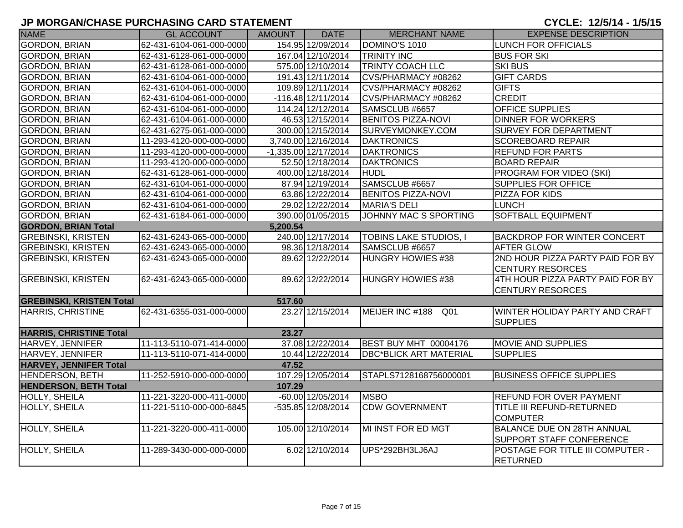|                                 | <u>U MURUMWUMULI URUMMUNU UMRD UTATLIMLINI</u> |               |                        |                               | 515E. 1207.7 107.0                |
|---------------------------------|------------------------------------------------|---------------|------------------------|-------------------------------|-----------------------------------|
| <b>NAME</b>                     | <b>GL ACCOUNT</b>                              | <b>AMOUNT</b> | <b>DATE</b>            | <b>MERCHANT NAME</b>          | <b>EXPENSE DESCRIPTION</b>        |
| <b>GORDON, BRIAN</b>            | 62-431-6104-061-000-0000                       |               | 154.95 12/09/2014      | DOMINO'S 1010                 | LUNCH FOR OFFICIALS               |
| <b>GORDON, BRIAN</b>            | 62-431-6128-061-000-0000                       |               | 167.04 12/10/2014      | <b>TRINITY INC</b>            | <b>BUS FOR SKI</b>                |
| <b>GORDON, BRIAN</b>            | 62-431-6128-061-000-0000                       |               | 575.00 12/10/2014      | <b>TRINTY COACH LLC</b>       | <b>SKI BUS</b>                    |
| <b>GORDON, BRIAN</b>            | 62-431-6104-061-000-0000                       |               | 191.43 12/11/2014      | CVS/PHARMACY #08262           | <b>GIFT CARDS</b>                 |
| <b>GORDON, BRIAN</b>            | 62-431-6104-061-000-0000                       |               | 109.89 12/11/2014      | CVS/PHARMACY #08262           | <b>GIFTS</b>                      |
| <b>GORDON, BRIAN</b>            | 62-431-6104-061-000-0000                       |               | $-116.48$ 12/11/2014   | CVS/PHARMACY #08262           | <b>CREDIT</b>                     |
| <b>GORDON, BRIAN</b>            | 62-431-6104-061-000-0000                       |               | 114.24 12/12/2014      | SAMSCLUB #6657                | <b>OFFICE SUPPLIES</b>            |
| <b>GORDON, BRIAN</b>            | 62-431-6104-061-000-0000                       |               | 46.53 12/15/2014       | <b>BENITOS PIZZA-NOVI</b>     | <b>DINNER FOR WORKERS</b>         |
| <b>GORDON, BRIAN</b>            | 62-431-6275-061-000-0000                       |               | 300.00 12/15/2014      | SURVEYMONKEY.COM              | SURVEY FOR DEPARTMENT             |
| <b>GORDON, BRIAN</b>            | 11-293-4120-000-000-0000                       |               | 3,740.00 12/16/2014    | <b>DAKTRONICS</b>             | <b>SCOREBOARD REPAIR</b>          |
| <b>GORDON, BRIAN</b>            | 11-293-4120-000-000-0000                       |               | $-1,335.00$ 12/17/2014 | <b>DAKTRONICS</b>             | <b>REFUND FOR PARTS</b>           |
| <b>GORDON, BRIAN</b>            | 11-293-4120-000-000-0000                       |               | 52.50 12/18/2014       | <b>DAKTRONICS</b>             | <b>BOARD REPAIR</b>               |
| <b>GORDON, BRIAN</b>            | 62-431-6128-061-000-0000                       |               | 400.00 12/18/2014      | HUDL                          | PROGRAM FOR VIDEO (SKI)           |
| <b>GORDON, BRIAN</b>            | 62-431-6104-061-000-0000                       |               | 87.94 12/19/2014       | SAMSCLUB #6657                | SUPPLIES FOR OFFICE               |
| <b>GORDON, BRIAN</b>            | 62-431-6104-061-000-0000                       |               | 63.86 12/22/2014       | <b>BENITOS PIZZA-NOVI</b>     | PIZZA FOR KIDS                    |
| <b>GORDON, BRIAN</b>            | 62-431-6104-061-000-0000                       |               | 29.02 12/22/2014       | <b>MARIA'S DELI</b>           | <b>LUNCH</b>                      |
| <b>GORDON, BRIAN</b>            | 62-431-6184-061-000-0000                       |               | 390.00 01/05/2015      | JOHNNY MAC S SPORTING         | <b>SOFTBALL EQUIPMENT</b>         |
| <b>GORDON, BRIAN Total</b>      |                                                | 5,200.54      |                        |                               |                                   |
| <b>GREBINSKI, KRISTEN</b>       | 62-431-6243-065-000-0000                       |               | 240.00 12/17/2014      | <b>TOBINS LAKE STUDIOS, I</b> | BACKDROP FOR WINTER CONCERT       |
| <b>GREBINSKI, KRISTEN</b>       | 62-431-6243-065-000-0000                       |               | 98.36 12/18/2014       | SAMSCLUB #6657                | AFTER GLOW                        |
| <b>GREBINSKI, KRISTEN</b>       | 62-431-6243-065-000-0000                       |               | 89.62 12/22/2014       | <b>HUNGRY HOWIES #38</b>      | 2ND HOUR PIZZA PARTY PAID FOR BY  |
|                                 |                                                |               |                        |                               | <b>CENTURY RESORCES</b>           |
| <b>GREBINSKI, KRISTEN</b>       | 62-431-6243-065-000-0000                       |               | 89.62 12/22/2014       | <b>HUNGRY HOWIES #38</b>      | 4TH HOUR PIZZA PARTY PAID FOR BY  |
|                                 |                                                |               |                        |                               | <b>CENTURY RESORCES</b>           |
| <b>GREBINSKI, KRISTEN Total</b> |                                                | 517.60        |                        |                               |                                   |
| HARRIS, CHRISTINE               | 62-431-6355-031-000-0000                       |               | 23.27 12/15/2014       | MEIJER INC #188 Q01           | WINTER HOLIDAY PARTY AND CRAFT    |
|                                 |                                                |               |                        |                               | <b>SUPPLIES</b>                   |
| <b>HARRIS, CHRISTINE Total</b>  |                                                | 23.27         |                        |                               |                                   |
| HARVEY, JENNIFER                | 11-113-5110-071-414-0000                       |               | 37.08 12/22/2014       | <b>BEST BUY MHT 00004176</b>  | <b>MOVIE AND SUPPLIES</b>         |
| HARVEY, JENNIFER                | 11-113-5110-071-414-0000                       |               | 10.44 12/22/2014       | <b>DBC*BLICK ART MATERIAL</b> | <b>SUPPLIES</b>                   |
| <b>HARVEY, JENNIFER Total</b>   |                                                | 47.52         |                        |                               |                                   |
| <b>HENDERSON, BETH</b>          | 11-252-5910-000-000-0000                       |               | 107.29 12/05/2014      | STAPLS7128168756000001        | <b>BUSINESS OFFICE SUPPLIES</b>   |
| <b>HENDERSON, BETH Total</b>    |                                                | 107.29        |                        |                               |                                   |
| HOLLY, SHEILA                   | 11-221-3220-000-411-0000                       |               | $-60.00$ 12/05/2014    | <b>MSBO</b>                   | REFUND FOR OVER PAYMENT           |
| HOLLY, SHEILA                   | 11-221-5110-000-000-6845                       |               | $-535.85$ 12/08/2014   | <b>CDW GOVERNMENT</b>         | TITLE III REFUND-RETURNED         |
|                                 |                                                |               |                        |                               | <b>COMPUTER</b>                   |
| HOLLY, SHEILA                   | 11-221-3220-000-411-0000                       |               | 105.00 12/10/2014      | MI INST FOR ED MGT            | <b>BALANCE DUE ON 28TH ANNUAL</b> |
|                                 |                                                |               |                        |                               | SUPPORT STAFF CONFERENCE          |
| HOLLY, SHEILA                   | 11-289-3430-000-000-0000                       |               | 6.02 12/10/2014        | UPS*292BH3LJ6AJ               | POSTAGE FOR TITLE III COMPUTER -  |
|                                 |                                                |               |                        |                               | <b>RETURNED</b>                   |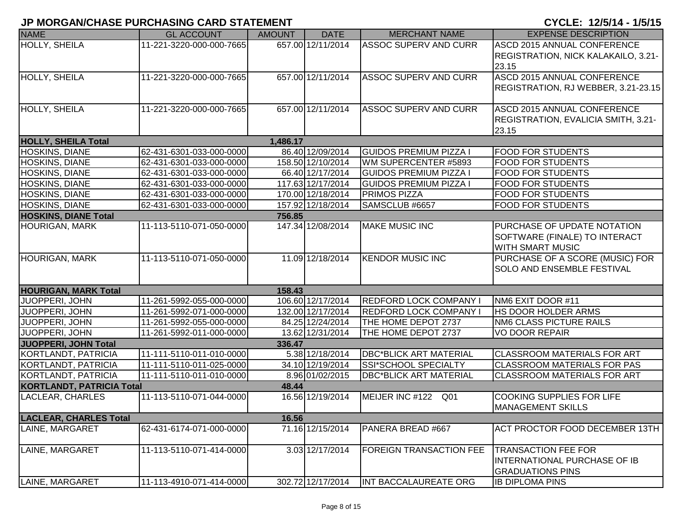|                                  | י יוסוים ומשתושלים ושווטוורשוויט שמונט וואוסוויוט ווי |               |                   |                                | VIVLL. I <i>l</i> vitt 1/9/19       |
|----------------------------------|-------------------------------------------------------|---------------|-------------------|--------------------------------|-------------------------------------|
| <b>NAME</b>                      | <b>GL ACCOUNT</b>                                     | <b>AMOUNT</b> | <b>DATE</b>       | <b>MERCHANT NAME</b>           | <b>EXPENSE DESCRIPTION</b>          |
| <b>HOLLY, SHEILA</b>             | 11-221-3220-000-000-7665                              |               | 657.00 12/11/2014 | <b>ASSOC SUPERV AND CURR</b>   | ASCD 2015 ANNUAL CONFERENCE         |
|                                  |                                                       |               |                   |                                | REGISTRATION, NICK KALAKAILO, 3.21- |
|                                  |                                                       |               |                   |                                | 23.15                               |
| <b>HOLLY, SHEILA</b>             | 11-221-3220-000-000-7665                              |               | 657.00 12/11/2014 | <b>ASSOC SUPERV AND CURR</b>   | ASCD 2015 ANNUAL CONFERENCE         |
|                                  |                                                       |               |                   |                                | REGISTRATION, RJ WEBBER, 3.21-23.15 |
|                                  |                                                       |               |                   |                                |                                     |
| HOLLY, SHEILA                    | 11-221-3220-000-000-7665                              |               | 657.00 12/11/2014 | <b>ASSOC SUPERV AND CURR</b>   | ASCD 2015 ANNUAL CONFERENCE         |
|                                  |                                                       |               |                   |                                | REGISTRATION, EVALICIA SMITH, 3.21- |
|                                  |                                                       |               |                   |                                | 23.15                               |
| <b>HOLLY, SHEILA Total</b>       |                                                       | 1,486.17      |                   |                                |                                     |
| <b>HOSKINS, DIANE</b>            | 62-431-6301-033-000-0000                              |               | 86.40 12/09/2014  | <b>GUIDOS PREMIUM PIZZA I</b>  | <b>FOOD FOR STUDENTS</b>            |
| <b>HOSKINS, DIANE</b>            | 62-431-6301-033-000-0000                              |               | 158.50 12/10/2014 | WM SUPERCENTER #5893           | <b>FOOD FOR STUDENTS</b>            |
| <b>HOSKINS, DIANE</b>            | 62-431-6301-033-000-0000                              |               | 66.40 12/17/2014  | <b>GUIDOS PREMIUM PIZZA I</b>  | <b>FOOD FOR STUDENTS</b>            |
| HOSKINS, DIANE                   | 62-431-6301-033-000-0000                              |               | 117.63 12/17/2014 | <b>GUIDOS PREMIUM PIZZA I</b>  | <b>FOOD FOR STUDENTS</b>            |
| <b>HOSKINS, DIANE</b>            | 62-431-6301-033-000-0000                              |               | 170.00 12/18/2014 | <b>PRIMOS PIZZA</b>            | <b>FOOD FOR STUDENTS</b>            |
| <b>HOSKINS, DIANE</b>            | 62-431-6301-033-000-0000                              |               | 157.92 12/18/2014 | SAMSCLUB #6657                 | <b>FOOD FOR STUDENTS</b>            |
| <b>HOSKINS, DIANE Total</b>      |                                                       | 756.85        |                   |                                |                                     |
| <b>HOURIGAN, MARK</b>            | 11-113-5110-071-050-0000                              |               | 147.34 12/08/2014 | <b>MAKE MUSIC INC</b>          | PURCHASE OF UPDATE NOTATION         |
|                                  |                                                       |               |                   |                                | SOFTWARE (FINALE) TO INTERACT       |
|                                  |                                                       |               |                   |                                | <b>WITH SMART MUSIC</b>             |
| <b>HOURIGAN, MARK</b>            | 11-113-5110-071-050-0000                              |               | 11.09 12/18/2014  | <b>KENDOR MUSIC INC</b>        | PURCHASE OF A SCORE (MUSIC) FOR     |
|                                  |                                                       |               |                   |                                | <b>SOLO AND ENSEMBLE FESTIVAL</b>   |
|                                  |                                                       |               |                   |                                |                                     |
| <b>HOURIGAN, MARK Total</b>      |                                                       | 158.43        |                   |                                |                                     |
| JUOPPERI, JOHN                   | 11-261-5992-055-000-0000                              |               | 106.60 12/17/2014 | <b>REDFORD LOCK COMPANY I</b>  | NM6 EXIT DOOR #11                   |
| <b>JUOPPERI, JOHN</b>            | 11-261-5992-071-000-0000                              |               | 132.00 12/17/2014 | <b>REDFORD LOCK COMPANY</b>    | <b>HS DOOR HOLDER ARMS</b>          |
| JUOPPERI, JOHN                   | 11-261-5992-055-000-0000                              |               | 84.25 12/24/2014  | THE HOME DEPOT 2737            | <b>NM6 CLASS PICTURE RAILS</b>      |
| JUOPPERI, JOHN                   | 11-261-5992-011-000-0000                              |               | 13.62 12/31/2014  | THE HOME DEPOT 2737            | <b>VO DOOR REPAIR</b>               |
| <b>JUOPPERI, JOHN Total</b>      |                                                       | 336.47        |                   |                                |                                     |
| KORTLANDT, PATRICIA              | 11-111-5110-011-010-0000                              |               | 5.38 12/18/2014   | <b>DBC*BLICK ART MATERIAL</b>  | <b>CLASSROOM MATERIALS FOR ART</b>  |
| KORTLANDT, PATRICIA              | 11-111-5110-011-025-0000                              |               | 34.10 12/19/2014  | SSI*SCHOOL SPECIALTY           | <b>CLASSROOM MATERIALS FOR PAS</b>  |
| KORTLANDT, PATRICIA              | 11-111-5110-011-010-0000                              |               | 8.96 01/02/2015   | <b>DBC*BLICK ART MATERIAL</b>  | <b>CLASSROOM MATERIALS FOR ART</b>  |
| <b>KORTLANDT, PATRICIA Total</b> |                                                       | 48.44         |                   |                                |                                     |
| LACLEAR, CHARLES                 | 11-113-5110-071-044-0000                              |               | 16.56 12/19/2014  | MEIJER INC #122 Q01            | <b>COOKING SUPPLIES FOR LIFE</b>    |
|                                  |                                                       |               |                   |                                | <b>MANAGEMENT SKILLS</b>            |
| <b>LACLEAR, CHARLES Total</b>    |                                                       | 16.56         |                   |                                |                                     |
| LAINE, MARGARET                  | 62-431-6174-071-000-0000                              |               | 71.16 12/15/2014  | PANERA BREAD #667              | ACT PROCTOR FOOD DECEMBER 13TH      |
|                                  |                                                       |               |                   |                                |                                     |
| LAINE, MARGARET                  | 11-113-5110-071-414-0000                              |               | 3.03 12/17/2014   | <b>FOREIGN TRANSACTION FEE</b> | <b>TRANSACTION FEE FOR</b>          |
|                                  |                                                       |               |                   |                                | INTERNATIONAL PURCHASE OF IB        |
|                                  |                                                       |               |                   |                                | <b>GRADUATIONS PINS</b>             |
| LAINE, MARGARET                  | 11-113-4910-071-414-0000                              |               | 302.72 12/17/2014 | INT BACCALAUREATE ORG          | <b>IB DIPLOMA PINS</b>              |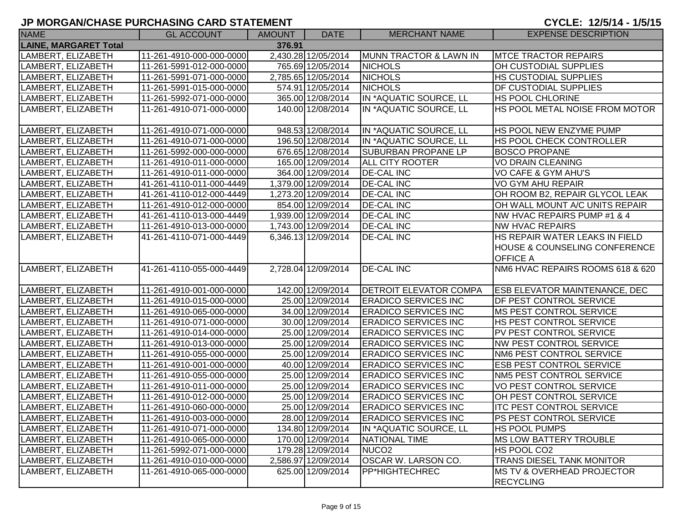| <b>NAME</b>                  | <b>GL ACCOUNT</b>        | <b>AMOUNT</b> | <b>DATE</b>         | <b>MERCHANT NAME</b>          | <b>EXPENSE DESCRIPTION</b>               |
|------------------------------|--------------------------|---------------|---------------------|-------------------------------|------------------------------------------|
| <b>LAINE, MARGARET Total</b> |                          | 376.91        |                     |                               |                                          |
| LAMBERT, ELIZABETH           | 11-261-4910-000-000-0000 |               | 2,430.28 12/05/2014 | MUNN TRACTOR & LAWN IN        | <b>MTCE TRACTOR REPAIRS</b>              |
| LAMBERT, ELIZABETH           | 11-261-5991-012-000-0000 |               | 765.69 12/05/2014   | <b>NICHOLS</b>                | OH CUSTODIAL SUPPLIES                    |
| LAMBERT, ELIZABETH           | 11-261-5991-071-000-0000 |               | 2,785.65 12/05/2014 | <b>NICHOLS</b>                | HS CUSTODIAL SUPPLIES                    |
| LAMBERT, ELIZABETH           | 11-261-5991-015-000-0000 |               | 574.91 12/05/2014   | <b>NICHOLS</b>                | <b>DF CUSTODIAL SUPPLIES</b>             |
| LAMBERT, ELIZABETH           | 11-261-5992-071-000-0000 |               | 365.00 12/08/2014   | IN *AQUATIC SOURCE, LL        | <b>HS POOL CHLORINE</b>                  |
| LAMBERT, ELIZABETH           | 11-261-4910-071-000-0000 |               | 140.00 12/08/2014   | IN *AQUATIC SOURCE, LL        | HS POOL METAL NOISE FROM MOTOR           |
| LAMBERT, ELIZABETH           | 11-261-4910-071-000-0000 |               | 948.53 12/08/2014   | IN *AQUATIC SOURCE, LL        | <b>HS POOL NEW ENZYME PUMP</b>           |
| LAMBERT, ELIZABETH           | 11-261-4910-071-000-0000 |               | 196.50 12/08/2014   | IN *AQUATIC SOURCE, LL        | HS POOL CHECK CONTROLLER                 |
| LAMBERT, ELIZABETH           | 11-261-5992-000-000-0000 |               | 676.65 12/08/2014   | <b>SUBURBAN PROPANE LP</b>    | <b>BOSCO PROPANE</b>                     |
| LAMBERT, ELIZABETH           | 11-261-4910-011-000-0000 |               | 165.00 12/09/2014   | <b>ALL CITY ROOTER</b>        | VO DRAIN CLEANING                        |
| LAMBERT, ELIZABETH           | 11-261-4910-011-000-0000 |               | 364.00 12/09/2014   | <b>DE-CAL INC</b>             | VO CAFE & GYM AHU'S                      |
| LAMBERT, ELIZABETH           | 41-261-4110-011-000-4449 |               | 1,379.00 12/09/2014 | <b>DE-CAL INC</b>             | VO GYM AHU REPAIR                        |
| LAMBERT, ELIZABETH           | 41-261-4110-012-000-4449 |               | 1,273.20 12/09/2014 | <b>DE-CAL INC</b>             | OH ROOM B2, REPAIR GLYCOL LEAK           |
| LAMBERT, ELIZABETH           | 11-261-4910-012-000-0000 |               | 854.00 12/09/2014   | <b>DE-CAL INC</b>             | OH WALL MOUNT A/C UNITS REPAIR           |
| LAMBERT, ELIZABETH           | 41-261-4110-013-000-4449 |               | 1,939.00 12/09/2014 | <b>DE-CAL INC</b>             | NW HVAC REPAIRS PUMP #1 & 4              |
| LAMBERT, ELIZABETH           | 11-261-4910-013-000-0000 |               | 1,743.00 12/09/2014 | <b>DE-CAL INC</b>             | <b>NW HVAC REPAIRS</b>                   |
| LAMBERT, ELIZABETH           | 41-261-4110-071-000-4449 |               | 6,346.13 12/09/2014 | <b>DE-CAL INC</b>             | HS REPAIR WATER LEAKS IN FIELD           |
|                              |                          |               |                     |                               | <b>HOUSE &amp; COUNSELING CONFERENCE</b> |
|                              |                          |               |                     |                               | <b>OFFICE A</b>                          |
| LAMBERT, ELIZABETH           | 41-261-4110-055-000-4449 |               | 2,728.04 12/09/2014 | <b>DE-CAL INC</b>             | NM6 HVAC REPAIRS ROOMS 618 & 620         |
| LAMBERT, ELIZABETH           | 11-261-4910-001-000-0000 |               | 142.00 12/09/2014   | <b>DETROIT ELEVATOR COMPA</b> | <b>ESB ELEVATOR MAINTENANCE, DEC</b>     |
| LAMBERT, ELIZABETH           | 11-261-4910-015-000-0000 |               | 25.00 12/09/2014    | <b>ERADICO SERVICES INC</b>   | DF PEST CONTROL SERVICE                  |
| LAMBERT, ELIZABETH           | 11-261-4910-065-000-0000 |               | 34.00 12/09/2014    | <b>ERADICO SERVICES INC</b>   | <b>MS PEST CONTROL SERVICE</b>           |
| LAMBERT, ELIZABETH           | 11-261-4910-071-000-0000 |               | 30.00 12/09/2014    | <b>ERADICO SERVICES INC</b>   | HS PEST CONTROL SERVICE                  |
| LAMBERT, ELIZABETH           | 11-261-4910-014-000-0000 |               | 25.00 12/09/2014    | <b>ERADICO SERVICES INC</b>   | PV PEST CONTROL SERVICE                  |
| LAMBERT, ELIZABETH           | 11-261-4910-013-000-0000 |               | 25.00 12/09/2014    | <b>ERADICO SERVICES INC</b>   | <b>NW PEST CONTROL SERVICE</b>           |
| LAMBERT, ELIZABETH           | 11-261-4910-055-000-0000 |               | 25.00 12/09/2014    | <b>ERADICO SERVICES INC</b>   | NM6 PEST CONTROL SERVICE                 |
| LAMBERT, ELIZABETH           | 11-261-4910-001-000-0000 |               | 40.00 12/09/2014    | <b>ERADICO SERVICES INC</b>   | ESB PEST CONTROL SERVICE                 |
| LAMBERT, ELIZABETH           | 11-261-4910-055-000-0000 |               | 25.00 12/09/2014    | <b>ERADICO SERVICES INC</b>   | NM5 PEST CONTROL SERVICE                 |
| LAMBERT, ELIZABETH           | 11-261-4910-011-000-0000 |               | 25.00 12/09/2014    | <b>ERADICO SERVICES INC</b>   | <b>VO PEST CONTROL SERVICE</b>           |
| LAMBERT, ELIZABETH           | 11-261-4910-012-000-0000 |               | 25.00 12/09/2014    | <b>ERADICO SERVICES INC</b>   | OH PEST CONTROL SERVICE                  |
| LAMBERT, ELIZABETH           | 11-261-4910-060-000-0000 |               | 25.00 12/09/2014    | <b>ERADICO SERVICES INC</b>   | <b>ITC PEST CONTROL SERVICE</b>          |
| LAMBERT, ELIZABETH           | 11-261-4910-003-000-0000 |               | 28.00 12/09/2014    | <b>ERADICO SERVICES INC</b>   | PS PEST CONTROL SERVICE                  |
| LAMBERT, ELIZABETH           | 11-261-4910-071-000-0000 |               | 134.80 12/09/2014   | IN *AQUATIC SOURCE, LL        | <b>HS POOL PUMPS</b>                     |
| LAMBERT, ELIZABETH           | 11-261-4910-065-000-0000 |               | 170.00 12/09/2014   | NATIONAL TIME                 | <b>MS LOW BATTERY TROUBLE</b>            |
| LAMBERT, ELIZABETH           | 11-261-5992-071-000-0000 |               | 179.28 12/09/2014   | NUCO <sub>2</sub>             | HS POOL CO2                              |
| LAMBERT, ELIZABETH           | 11-261-4910-010-000-0000 |               | 2,586.97 12/09/2014 | OSCAR W. LARSON CO.           | TRANS DIESEL TANK MONITOR                |
| LAMBERT, ELIZABETH           | 11-261-4910-065-000-0000 |               | 625.00 12/09/2014   | PP*HIGHTECHREC                | <b>IMS TV &amp; OVERHEAD PROJECTOR</b>   |
|                              |                          |               |                     |                               | <b>RECYCLING</b>                         |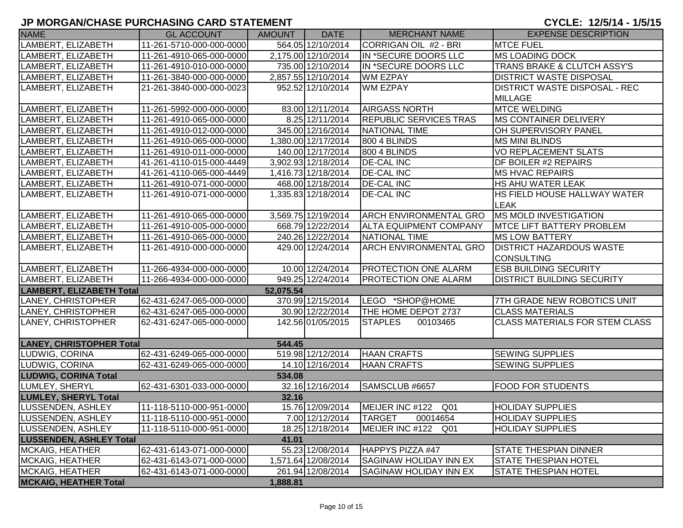| <b>NAME</b>                     | <b>GL ACCOUNT</b>        | <b>AMOUNT</b> | <b>DATE</b>         | <b>MERCHANT NAME</b>          | <b>EXPENSE DESCRIPTION</b>            |
|---------------------------------|--------------------------|---------------|---------------------|-------------------------------|---------------------------------------|
| LAMBERT, ELIZABETH              | 11-261-5710-000-000-0000 |               | 564.05 12/10/2014   | CORRIGAN OIL #2 - BRI         | <b>MTCE FUEL</b>                      |
| LAMBERT, ELIZABETH              | 11-261-4910-065-000-0000 |               | 2,175.00 12/10/2014 | IN *SECURE DOORS LLC          | <b>MS LOADING DOCK</b>                |
| LAMBERT, ELIZABETH              | 11-261-4910-010-000-0000 |               | 735.00 12/10/2014   | IN *SECURE DOORS LLC          | TRANS BRAKE & CLUTCH ASSY'S           |
| LAMBERT, ELIZABETH              | 11-261-3840-000-000-0000 |               | 2,857.55 12/10/2014 | <b>WM EZPAY</b>               | <b>DISTRICT WASTE DISPOSAL</b>        |
| LAMBERT, ELIZABETH              | 21-261-3840-000-000-0023 |               | 952.52 12/10/2014   | <b>WM EZPAY</b>               | <b>DISTRICT WASTE DISPOSAL - REC</b>  |
|                                 |                          |               |                     |                               | <b>MILLAGE</b>                        |
| LAMBERT, ELIZABETH              | 11-261-5992-000-000-0000 |               | 83.00 12/11/2014    | <b>AIRGASS NORTH</b>          | <b>MTCE WELDING</b>                   |
| LAMBERT, ELIZABETH              | 11-261-4910-065-000-0000 |               | 8.25 12/11/2014     | <b>REPUBLIC SERVICES TRAS</b> | MS CONTAINER DELIVERY                 |
| LAMBERT, ELIZABETH              | 11-261-4910-012-000-0000 |               | 345.00 12/16/2014   | <b>NATIONAL TIME</b>          | OH SUPERVISORY PANEL                  |
| LAMBERT, ELIZABETH              | 11-261-4910-065-000-0000 |               | 1,380.00 12/17/2014 | 800 4 BLINDS                  | <b>MS MINI BLINDS</b>                 |
| LAMBERT, ELIZABETH              | 11-261-4910-011-000-0000 |               | 140.00 12/17/2014   | 800 4 BLINDS                  | <b>VO REPLACEMENT SLATS</b>           |
| LAMBERT, ELIZABETH              | 41-261-4110-015-000-4449 |               | 3,902.93 12/18/2014 | <b>DE-CAL INC</b>             | DF BOILER #2 REPAIRS                  |
| LAMBERT, ELIZABETH              | 41-261-4110-065-000-4449 |               | 1,416.73 12/18/2014 | <b>DE-CAL INC</b>             | <b>MS HVAC REPAIRS</b>                |
| LAMBERT, ELIZABETH              | 11-261-4910-071-000-0000 |               | 468.00 12/18/2014   | <b>DE-CAL INC</b>             | <b>HS AHU WATER LEAK</b>              |
| LAMBERT, ELIZABETH              | 11-261-4910-071-000-0000 |               | 1,335.83 12/18/2014 | <b>DE-CAL INC</b>             | HS FIELD HOUSE HALLWAY WATER          |
|                                 |                          |               |                     |                               | <b>LEAK</b>                           |
| LAMBERT, ELIZABETH              | 11-261-4910-065-000-0000 |               | 3,569.75 12/19/2014 | <b>ARCH ENVIRONMENTAL GRO</b> | <b>MS MOLD INVESTIGATION</b>          |
| LAMBERT, ELIZABETH              | 11-261-4910-005-000-0000 |               | 668.79 12/22/2014   | <b>ALTA EQUIPMENT COMPANY</b> | <b>MTCE LIFT BATTERY PROBLEM</b>      |
| LAMBERT, ELIZABETH              | 11-261-4910-065-000-0000 |               | 240.26 12/22/2014   | NATIONAL TIME                 | <b>MS LOW BATTERY</b>                 |
| LAMBERT, ELIZABETH              | 11-261-4910-000-000-0000 |               | 429.00 12/24/2014   | <b>ARCH ENVIRONMENTAL GRO</b> | <b>DISTRICT HAZARDOUS WASTE</b>       |
|                                 |                          |               |                     |                               | <b>CONSULTING</b>                     |
| LAMBERT, ELIZABETH              | 11-266-4934-000-000-0000 |               | 10.00 12/24/2014    | <b>PROTECTION ONE ALARM</b>   | <b>ESB BUILDING SECURITY</b>          |
| LAMBERT, ELIZABETH              | 11-266-4934-000-000-0000 |               | 949.25 12/24/2014   | <b>PROTECTION ONE ALARM</b>   | <b>DISTRICT BUILDING SECURITY</b>     |
| <b>LAMBERT, ELIZABETH Total</b> |                          | 52,075.54     |                     |                               |                                       |
| LANEY, CHRISTOPHER              | 62-431-6247-065-000-0000 |               | 370.99 12/15/2014   | LEGO *SHOP@HOME               | 7TH GRADE NEW ROBOTICS UNIT           |
| LANEY, CHRISTOPHER              | 62-431-6247-065-000-0000 |               | 30.90 12/22/2014    | THE HOME DEPOT 2737           | <b>CLASS MATERIALS</b>                |
| LANEY, CHRISTOPHER              | 62-431-6247-065-000-0000 |               | 142.56 01/05/2015   | <b>STAPLES</b><br>00103465    | <b>CLASS MATERIALS FOR STEM CLASS</b> |
|                                 |                          |               |                     |                               |                                       |
| <b>LANEY, CHRISTOPHER Total</b> |                          | 544.45        |                     |                               |                                       |
| LUDWIG, CORINA                  | 62-431-6249-065-000-0000 |               | 519.98 12/12/2014   | <b>HAAN CRAFTS</b>            | <b>SEWING SUPPLIES</b>                |
| LUDWIG, CORINA                  | 62-431-6249-065-000-0000 |               | 14.10 12/16/2014    | <b>HAAN CRAFTS</b>            | <b>SEWING SUPPLIES</b>                |
| <b>LUDWIG, CORINA Total</b>     |                          | 534.08        |                     |                               |                                       |
| LUMLEY, SHERYL                  | 62-431-6301-033-000-0000 |               | 32.16 12/16/2014    | SAMSCLUB #6657                | <b>FOOD FOR STUDENTS</b>              |
| <b>LUMLEY, SHERYL Total</b>     |                          | 32.16         |                     |                               |                                       |
| <b>LUSSENDEN, ASHLEY</b>        | 11-118-5110-000-951-0000 |               | 15.76 12/09/2014    | MEIJER INC #122 Q01           | <b>HOLIDAY SUPPLIES</b>               |
| LUSSENDEN, ASHLEY               | 11-118-5110-000-951-0000 |               | 7.00 12/12/2014     | <b>TARGET</b><br>00014654     | <b>HOLIDAY SUPPLIES</b>               |
| LUSSENDEN, ASHLEY               | 11-118-5110-000-951-0000 |               | 18.25 12/18/2014    | MEIJER INC #122 Q01           | <b>HOLIDAY SUPPLIES</b>               |
| <b>LUSSENDEN, ASHLEY Total</b>  |                          | 41.01         |                     |                               |                                       |
| <b>MCKAIG, HEATHER</b>          | 62-431-6143-071-000-0000 |               | 55.23 12/08/2014    | HAPPYS PIZZA #47              | <b>STATE THESPIAN DINNER</b>          |
| <b>MCKAIG, HEATHER</b>          | 62-431-6143-071-000-0000 |               | 1,571.64 12/08/2014 | SAGINAW HOLIDAY INN EX        | <b>STATE THESPIAN HOTEL</b>           |
| <b>MCKAIG, HEATHER</b>          | 62-431-6143-071-000-0000 |               | 261.94 12/08/2014   | SAGINAW HOLIDAY INN EX        | <b>STATE THESPIAN HOTEL</b>           |
| <b>MCKAIG, HEATHER Total</b>    |                          | 1,888.81      |                     |                               |                                       |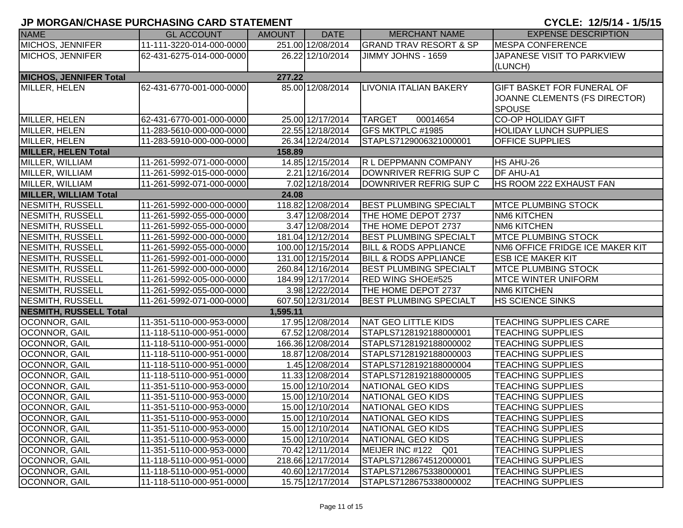|                               | <u>UL MUNUMVULINUL LUNULINUMU UMNU UTATLIMLINI</u> |               |                   |                                   | UUU1                              |
|-------------------------------|----------------------------------------------------|---------------|-------------------|-----------------------------------|-----------------------------------|
| <b>NAME</b>                   | <b>GL ACCOUNT</b>                                  | <b>AMOUNT</b> | <b>DATE</b>       | <b>MERCHANT NAME</b>              | <b>EXPENSE DESCRIPTION</b>        |
| MICHOS, JENNIFER              | 11-111-3220-014-000-0000                           |               | 251.00 12/08/2014 | <b>GRAND TRAV RESORT &amp; SP</b> | <b>MESPA CONFERENCE</b>           |
| <b>MICHOS, JENNIFER</b>       | 62-431-6275-014-000-0000                           |               | 26.22 12/10/2014  | JIMMY JOHNS - 1659                | JAPANESE VISIT TO PARKVIEW        |
|                               |                                                    |               |                   |                                   | (LUNCH)                           |
| <b>MICHOS, JENNIFER Total</b> |                                                    | 277.22        |                   |                                   |                                   |
| MILLER, HELEN                 | 62-431-6770-001-000-0000                           |               | 85.00 12/08/2014  | <b>LIVONIA ITALIAN BAKERY</b>     | <b>GIFT BASKET FOR FUNERAL OF</b> |
|                               |                                                    |               |                   |                                   | JOANNE CLEMENTS (FS DIRECTOR)     |
|                               |                                                    |               |                   |                                   | <b>SPOUSE</b>                     |
| MILLER, HELEN                 | 62-431-6770-001-000-0000                           |               | 25.00 12/17/2014  | 00014654<br><b>TARGET</b>         | <b>CO-OP HOLIDAY GIFT</b>         |
| MILLER, HELEN                 | 11-283-5610-000-000-0000                           |               | 22.55 12/18/2014  | GFS MKTPLC #1985                  | <b>HOLIDAY LUNCH SUPPLIES</b>     |
| MILLER, HELEN                 | 11-283-5910-000-000-0000                           |               | 26.34 12/24/2014  | STAPLS7129006321000001            | <b>OFFICE SUPPLIES</b>            |
| <b>MILLER, HELEN Total</b>    |                                                    | 158.89        |                   |                                   |                                   |
| MILLER, WILLIAM               | 11-261-5992-071-000-0000                           |               | 14.85 12/15/2014  | R L DEPPMANN COMPANY              | HS AHU-26                         |
| MILLER, WILLIAM               | 11-261-5992-015-000-0000                           |               | 2.21 12/16/2014   | DOWNRIVER REFRIG SUP C            | <b>DF AHU-A1</b>                  |
| MILLER, WILLIAM               | 11-261-5992-071-000-0000                           |               | 7.02 12/18/2014   | DOWNRIVER REFRIG SUP C            | <b>HS ROOM 222 EXHAUST FAN</b>    |
| <b>MILLER, WILLIAM Total</b>  |                                                    | 24.08         |                   |                                   |                                   |
| NESMITH, RUSSELL              | 11-261-5992-000-000-0000                           |               | 118.82 12/08/2014 | <b>BEST PLUMBING SPECIALT</b>     | <b>MTCE PLUMBING STOCK</b>        |
| NESMITH, RUSSELL              | 11-261-5992-055-000-0000                           |               | 3.47 12/08/2014   | THE HOME DEPOT 2737               | <b>NM6 KITCHEN</b>                |
| NESMITH, RUSSELL              | 11-261-5992-055-000-0000                           |               | 3.47 12/08/2014   | THE HOME DEPOT 2737               | <b>NM6 KITCHEN</b>                |
| NESMITH, RUSSELL              | 11-261-5992-000-000-0000                           |               | 181.04 12/12/2014 | <b>BEST PLUMBING SPECIALT</b>     | <b>MTCE PLUMBING STOCK</b>        |
| NESMITH, RUSSELL              | 11-261-5992-055-000-0000                           |               | 100.00 12/15/2014 | <b>BILL &amp; RODS APPLIANCE</b>  | NM6 OFFICE FRIDGE ICE MAKER KIT   |
| <b>NESMITH, RUSSELL</b>       | 11-261-5992-001-000-0000                           |               | 131.00 12/15/2014 | <b>BILL &amp; RODS APPLIANCE</b>  | <b>ESB ICE MAKER KIT</b>          |
| <b>NESMITH, RUSSELL</b>       | 11-261-5992-000-000-0000                           |               | 260.84 12/16/2014 | <b>BEST PLUMBING SPECIALT</b>     | <b>MTCE PLUMBING STOCK</b>        |
| <b>NESMITH, RUSSELL</b>       | 11-261-5992-005-000-0000                           |               | 184.99 12/17/2014 | RED WING SHOE#525                 | <b>MTCE WINTER UNIFORM</b>        |
| <b>NESMITH, RUSSELL</b>       | 11-261-5992-055-000-0000                           |               | 3.98 12/22/2014   | THE HOME DEPOT 2737               | <b>NM6 KITCHEN</b>                |
| NESMITH, RUSSELL              | 11-261-5992-071-000-0000                           |               | 607.50 12/31/2014 | <b>BEST PLUMBING SPECIALT</b>     | <b>HS SCIENCE SINKS</b>           |
| <b>NESMITH, RUSSELL Total</b> |                                                    | 1,595.11      |                   |                                   |                                   |
| OCONNOR, GAIL                 | 11-351-5110-000-953-0000                           |               | 17.95 12/08/2014  | NAT GEO LITTLE KIDS               | <b>TEACHING SUPPLIES CARE</b>     |
| OCONNOR, GAIL                 | 11-118-5110-000-951-0000                           |               | 67.52 12/08/2014  | STAPLS7128192188000001            | <b>TEACHING SUPPLIES</b>          |
| OCONNOR, GAIL                 | 11-118-5110-000-951-0000                           |               | 166.36 12/08/2014 | STAPLS7128192188000002            | <b>TEACHING SUPPLIES</b>          |
| <b>OCONNOR, GAIL</b>          | 11-118-5110-000-951-0000                           |               | 18.87 12/08/2014  | STAPLS7128192188000003            | <b>TEACHING SUPPLIES</b>          |
| OCONNOR, GAIL                 | 11-118-5110-000-951-0000                           |               | 1.45 12/08/2014   | STAPLS7128192188000004            | <b>TEACHING SUPPLIES</b>          |
| OCONNOR, GAIL                 | 11-118-5110-000-951-0000                           |               | 11.33 12/08/2014  | STAPLS7128192188000005            | <b>TEACHING SUPPLIES</b>          |
| <b>OCONNOR, GAIL</b>          | 11-351-5110-000-953-0000                           |               | 15.00 12/10/2014  | <b>NATIONAL GEO KIDS</b>          | <b>TEACHING SUPPLIES</b>          |
| OCONNOR, GAIL                 | 11-351-5110-000-953-0000                           |               | 15.00 12/10/2014  | <b>NATIONAL GEO KIDS</b>          | <b>TEACHING SUPPLIES</b>          |
| <b>OCONNOR, GAIL</b>          | 11-351-5110-000-953-0000                           |               | 15.00 12/10/2014  | NATIONAL GEO KIDS                 | <b>TEACHING SUPPLIES</b>          |
| <b>OCONNOR, GAIL</b>          | 11-351-5110-000-953-0000                           |               | 15.00 12/10/2014  | NATIONAL GEO KIDS                 | <b>TEACHING SUPPLIES</b>          |
| <b>OCONNOR, GAIL</b>          | 11-351-5110-000-953-0000                           |               | 15.00 12/10/2014  | NATIONAL GEO KIDS                 | <b>TEACHING SUPPLIES</b>          |
| <b>OCONNOR, GAIL</b>          | 11-351-5110-000-953-0000                           |               | 15.00 12/10/2014  | NATIONAL GEO KIDS                 | <b>TEACHING SUPPLIES</b>          |
| <b>OCONNOR, GAIL</b>          | 11-351-5110-000-953-0000                           |               | 70.42 12/11/2014  | MEIJER INC #122 Q01               | <b>TEACHING SUPPLIES</b>          |
| <b>OCONNOR, GAIL</b>          | 11-118-5110-000-951-0000                           |               | 218.66 12/17/2014 | STAPLS7128674512000001            | <b>TEACHING SUPPLIES</b>          |
| OCONNOR, GAIL                 | 11-118-5110-000-951-0000                           |               | 40.60 12/17/2014  | STAPLS7128675338000001            | <b>TEACHING SUPPLIES</b>          |
| <b>OCONNOR, GAIL</b>          | 11-118-5110-000-951-0000                           |               | 15.75 12/17/2014  | STAPLS7128675338000002            | <b>TEACHING SUPPLIES</b>          |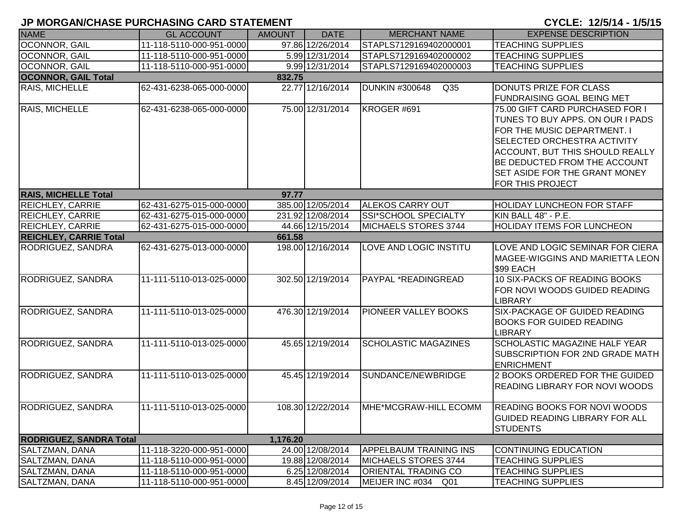|                                | י יוסויום ווער שוואר שמות וסויוש ו בשתו וטוחשורות ונ |               |                   |                                          | 01 JLL: 14/9/17 1/9/19                                                                                                                                                                                                                                                                |
|--------------------------------|------------------------------------------------------|---------------|-------------------|------------------------------------------|---------------------------------------------------------------------------------------------------------------------------------------------------------------------------------------------------------------------------------------------------------------------------------------|
| <b>NAME</b>                    | <b>GL ACCOUNT</b>                                    | <b>AMOUNT</b> | <b>DATE</b>       | <b>MERCHANT NAME</b>                     | <b>EXPENSE DESCRIPTION</b>                                                                                                                                                                                                                                                            |
| <b>OCONNOR, GAIL</b>           | 11-118-5110-000-951-0000                             |               | 97.86 12/26/2014  | STAPLS7129169402000001                   | <b>TEACHING SUPPLIES</b>                                                                                                                                                                                                                                                              |
| <b>OCONNOR, GAIL</b>           | 11-118-5110-000-951-0000                             |               | 5.99 12/31/2014   | STAPLS7129169402000002                   | <b>TEACHING SUPPLIES</b>                                                                                                                                                                                                                                                              |
| <b>OCONNOR, GAIL</b>           | 11-118-5110-000-951-0000                             |               | 9.99 12/31/2014   | STAPLS7129169402000003                   | <b>TEACHING SUPPLIES</b>                                                                                                                                                                                                                                                              |
| <b>OCONNOR, GAIL Total</b>     |                                                      | 832.75        |                   |                                          |                                                                                                                                                                                                                                                                                       |
| <b>RAIS, MICHELLE</b>          | 62-431-6238-065-000-0000                             |               | 22.77 12/16/2014  | <b>DUNKIN #300648</b><br>Q <sub>35</sub> | DONUTS PRIZE FOR CLASS<br>FUNDRAISING GOAL BEING MET                                                                                                                                                                                                                                  |
| RAIS, MICHELLE                 | 62-431-6238-065-000-0000                             |               | 75.00 12/31/2014  | KROGER #691                              | 75.00 GIFT CARD PURCHASED FOR I<br>TUNES TO BUY APPS. ON OUR I PADS<br>FOR THE MUSIC DEPARTMENT. I<br><b>SELECTED ORCHESTRA ACTIVITY</b><br><b>ACCOUNT, BUT THIS SHOULD REALLY</b><br>BE DEDUCTED FROM THE ACCOUNT<br><b>SET ASIDE FOR THE GRANT MONEY</b><br><b>FOR THIS PROJECT</b> |
| <b>RAIS, MICHELLE Total</b>    |                                                      | 97.77         |                   |                                          |                                                                                                                                                                                                                                                                                       |
| <b>REICHLEY, CARRIE</b>        | 62-431-6275-015-000-0000                             |               | 385.00 12/05/2014 | <b>ALEKOS CARRY OUT</b>                  | <b>HOLIDAY LUNCHEON FOR STAFF</b>                                                                                                                                                                                                                                                     |
| <b>REICHLEY, CARRIE</b>        | 62-431-6275-015-000-0000                             |               | 231.92 12/08/2014 | SSI*SCHOOL SPECIALTY                     | KIN BALL 48" - P.E.                                                                                                                                                                                                                                                                   |
| <b>REICHLEY, CARRIE</b>        | 62-431-6275-015-000-0000                             |               | 44.66 12/15/2014  | MICHAELS STORES 3744                     | <b>HOLIDAY ITEMS FOR LUNCHEON</b>                                                                                                                                                                                                                                                     |
| <b>REICHLEY, CARRIE Total</b>  |                                                      | 661.58        |                   |                                          |                                                                                                                                                                                                                                                                                       |
| RODRIGUEZ, SANDRA              | 62-431-6275-013-000-0000                             |               | 198.00 12/16/2014 | LOVE AND LOGIC INSTITU                   | LOVE AND LOGIC SEMINAR FOR CIERA<br>MAGEE-WIGGINS AND MARIETTA LEON<br>\$99 EACH                                                                                                                                                                                                      |
| <b>RODRIGUEZ, SANDRA</b>       | 11-111-5110-013-025-0000                             |               | 302.50 12/19/2014 | PAYPAL *READINGREAD                      | 10 SIX-PACKS OF READING BOOKS<br>FOR NOVI WOODS GUIDED READING<br><b>LIBRARY</b>                                                                                                                                                                                                      |
| <b>RODRIGUEZ, SANDRA</b>       | 11-111-5110-013-025-0000                             |               | 476.30 12/19/2014 | PIONEER VALLEY BOOKS                     | <b>SIX-PACKAGE OF GUIDED READING</b><br><b>BOOKS FOR GUIDED READING</b><br><b>LIBRARY</b>                                                                                                                                                                                             |
| <b>RODRIGUEZ, SANDRA</b>       | 11-111-5110-013-025-0000                             |               | 45.65 12/19/2014  | <b>SCHOLASTIC MAGAZINES</b>              | <b>SCHOLASTIC MAGAZINE HALF YEAR</b><br>SUBSCRIPTION FOR 2ND GRADE MATH<br><b>ENRICHMENT</b>                                                                                                                                                                                          |
| <b>RODRIGUEZ, SANDRA</b>       | 11-111-5110-013-025-0000                             |               | 45.45 12/19/2014  | SUNDANCE/NEWBRIDGE                       | 2 BOOKS ORDERED FOR THE GUIDED<br><b>READING LIBRARY FOR NOVI WOODS</b>                                                                                                                                                                                                               |
| <b>RODRIGUEZ, SANDRA</b>       | 11-111-5110-013-025-0000                             |               | 108.30 12/22/2014 | <b>IMHE*MCGRAW-HILL ECOMM</b>            | <b>READING BOOKS FOR NOVI WOODS</b><br><b>GUIDED READING LIBRARY FOR ALL</b><br><b>STUDENTS</b>                                                                                                                                                                                       |
| <b>RODRIGUEZ, SANDRA Total</b> |                                                      | 1,176.20      |                   |                                          |                                                                                                                                                                                                                                                                                       |
| <b>SALTZMAN, DANA</b>          | 11-118-3220-000-951-0000                             |               | 24.00 12/08/2014  | <b>APPELBAUM TRAINING INS</b>            | <b>CONTINUING EDUCATION</b>                                                                                                                                                                                                                                                           |
| SALTZMAN, DANA                 | 11-118-5110-000-951-0000                             |               | 19.88 12/08/2014  | MICHAELS STORES 3744                     | <b>TEACHING SUPPLIES</b>                                                                                                                                                                                                                                                              |
| SALTZMAN, DANA                 | 11-118-5110-000-951-0000                             |               | 6.25 12/08/2014   | <b>ORIENTAL TRADING CO</b>               | <b>TEACHING SUPPLIES</b>                                                                                                                                                                                                                                                              |
| SALTZMAN, DANA                 | 11-118-5110-000-951-0000                             |               | 8.45 12/09/2014   | MEIJER INC #034 Q01                      | <b>TEACHING SUPPLIES</b>                                                                                                                                                                                                                                                              |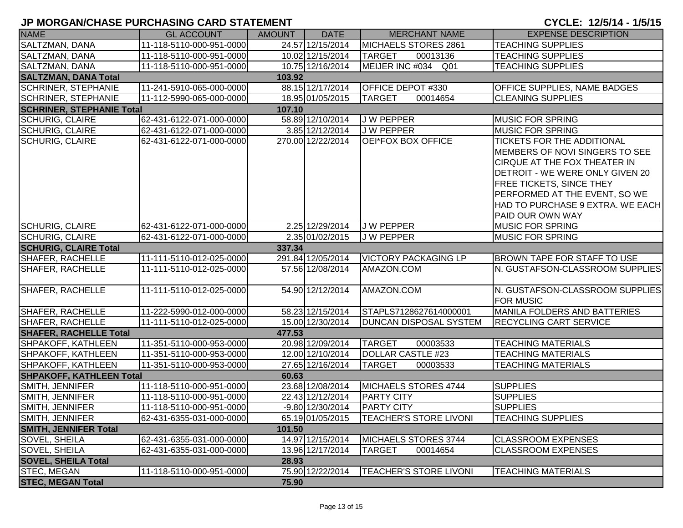| <b>NAME</b>                      | <b>GL ACCOUNT</b>        | <b>AMOUNT</b> | <b>DATE</b>        | <b>MERCHANT NAME</b>          | <b>EXPENSE DESCRIPTION</b>                                                                                                                                                                                                                                         |
|----------------------------------|--------------------------|---------------|--------------------|-------------------------------|--------------------------------------------------------------------------------------------------------------------------------------------------------------------------------------------------------------------------------------------------------------------|
| SALTZMAN, DANA                   | 11-118-5110-000-951-0000 |               | 24.57 12/15/2014   | MICHAELS STORES 2861          | <b>TEACHING SUPPLIES</b>                                                                                                                                                                                                                                           |
| SALTZMAN, DANA                   | 11-118-5110-000-951-0000 |               | 10.02 12/15/2014   | <b>TARGET</b><br>00013136     | <b>TEACHING SUPPLIES</b>                                                                                                                                                                                                                                           |
| SALTZMAN, DANA                   | 11-118-5110-000-951-0000 |               | 10.75 12/16/2014   | MEIJER INC #034 Q01           | <b>TEACHING SUPPLIES</b>                                                                                                                                                                                                                                           |
| <b>SALTZMAN, DANA Total</b>      |                          | 103.92        |                    |                               |                                                                                                                                                                                                                                                                    |
| <b>SCHRINER, STEPHANIE</b>       | 11-241-5910-065-000-0000 |               | 88.15 12/17/2014   | OFFICE DEPOT #330             | OFFICE SUPPLIES, NAME BADGES                                                                                                                                                                                                                                       |
| <b>SCHRINER, STEPHANIE</b>       | 11-112-5990-065-000-0000 |               | 18.95 01/05/2015   | <b>TARGET</b><br>00014654     | <b>CLEANING SUPPLIES</b>                                                                                                                                                                                                                                           |
| <b>SCHRINER, STEPHANIE Total</b> |                          | 107.10        |                    |                               |                                                                                                                                                                                                                                                                    |
| <b>SCHURIG, CLAIRE</b>           | 62-431-6122-071-000-0000 |               | 58.89 12/10/2014   | <b>JW PEPPER</b>              | <b>MUSIC FOR SPRING</b>                                                                                                                                                                                                                                            |
| <b>SCHURIG, CLAIRE</b>           | 62-431-6122-071-000-0000 |               | 3.85 12/12/2014    | <b>JW PEPPER</b>              | <b>MUSIC FOR SPRING</b>                                                                                                                                                                                                                                            |
| <b>SCHURIG, CLAIRE</b>           | 62-431-6122-071-000-0000 |               | 270.00 12/22/2014  | OEI*FOX BOX OFFICE            | <b>TICKETS FOR THE ADDITIONAL</b><br>MEMBERS OF NOVI SINGERS TO SEE<br>CIRQUE AT THE FOX THEATER IN<br>DETROIT - WE WERE ONLY GIVEN 20<br><b>FREE TICKETS, SINCE THEY</b><br>PERFORMED AT THE EVENT, SO WE<br>HAD TO PURCHASE 9 EXTRA. WE EACH<br>PAID OUR OWN WAY |
| <b>SCHURIG, CLAIRE</b>           | 62-431-6122-071-000-0000 |               | 2.25 12/29/2014    | <b>JW PEPPER</b>              | <b>MUSIC FOR SPRING</b>                                                                                                                                                                                                                                            |
| <b>SCHURIG, CLAIRE</b>           | 62-431-6122-071-000-0000 |               | 2.35 01/02/2015    | <b>JW PEPPER</b>              | <b>MUSIC FOR SPRING</b>                                                                                                                                                                                                                                            |
| <b>SCHURIG, CLAIRE Total</b>     |                          | 337.34        |                    |                               |                                                                                                                                                                                                                                                                    |
| <b>SHAFER, RACHELLE</b>          | 11-111-5110-012-025-0000 |               | 291.84 12/05/2014  | <b>VICTORY PACKAGING LP</b>   | BROWN TAPE FOR STAFF TO USE                                                                                                                                                                                                                                        |
| <b>SHAFER, RACHELLE</b>          | 11-111-5110-012-025-0000 |               | 57.56 12/08/2014   | AMAZON.COM                    | N. GUSTAFSON-CLASSROOM SUPPLIES                                                                                                                                                                                                                                    |
| <b>SHAFER, RACHELLE</b>          | 11-111-5110-012-025-0000 |               | 54.90 12/12/2014   | AMAZON.COM                    | N. GUSTAFSON-CLASSROOM SUPPLIES<br><b>FOR MUSIC</b>                                                                                                                                                                                                                |
| <b>SHAFER, RACHELLE</b>          | 11-222-5990-012-000-0000 |               | 58.23 12/15/2014   | STAPLS7128627614000001        | <b>MANILA FOLDERS AND BATTERIES</b>                                                                                                                                                                                                                                |
| <b>SHAFER, RACHELLE</b>          | 11-111-5110-012-025-0000 |               | 15.00 12/30/2014   | DUNCAN DISPOSAL SYSTEM        | <b>RECYCLING CART SERVICE</b>                                                                                                                                                                                                                                      |
| <b>SHAFER, RACHELLE Total</b>    |                          | 477.53        |                    |                               |                                                                                                                                                                                                                                                                    |
| SHPAKOFF, KATHLEEN               | 11-351-5110-000-953-0000 |               | 20.98 12/09/2014   | <b>TARGET</b><br>00003533     | <b>TEACHING MATERIALS</b>                                                                                                                                                                                                                                          |
| SHPAKOFF, KATHLEEN               | 11-351-5110-000-953-0000 |               | 12.00 12/10/2014   | <b>DOLLAR CASTLE #23</b>      | <b>TEACHING MATERIALS</b>                                                                                                                                                                                                                                          |
| SHPAKOFF, KATHLEEN               | 11-351-5110-000-953-0000 |               | 27.65 12/16/2014   | <b>TARGET</b><br>00003533     | <b>TEACHING MATERIALS</b>                                                                                                                                                                                                                                          |
| <b>SHPAKOFF, KATHLEEN Total</b>  |                          | 60.63         |                    |                               |                                                                                                                                                                                                                                                                    |
| SMITH, JENNIFER                  | 11-118-5110-000-951-0000 |               | 23.68 12/08/2014   | MICHAELS STORES 4744          | <b>SUPPLIES</b>                                                                                                                                                                                                                                                    |
| SMITH, JENNIFER                  | 11-118-5110-000-951-0000 |               | 22.43 12/12/2014   | <b>PARTY CITY</b>             | <b>SUPPLIES</b>                                                                                                                                                                                                                                                    |
| SMITH, JENNIFER                  | 11-118-5110-000-951-0000 |               | $-9.80$ 12/30/2014 | <b>PARTY CITY</b>             | <b>SUPPLIES</b>                                                                                                                                                                                                                                                    |
| SMITH, JENNIFER                  | 62-431-6355-031-000-0000 |               | 65.19 01/05/2015   | <b>TEACHER'S STORE LIVONI</b> | <b>TEACHING SUPPLIES</b>                                                                                                                                                                                                                                           |
| <b>SMITH, JENNIFER Total</b>     |                          | 101.50        |                    |                               |                                                                                                                                                                                                                                                                    |
| SOVEL, SHEILA                    | 62-431-6355-031-000-0000 |               | 14.97 12/15/2014   | MICHAELS STORES 3744          | <b>CLASSROOM EXPENSES</b>                                                                                                                                                                                                                                          |
| SOVEL, SHEILA                    | 62-431-6355-031-000-0000 |               | 13.96 12/17/2014   | <b>TARGET</b><br>00014654     | <b>CLASSROOM EXPENSES</b>                                                                                                                                                                                                                                          |
| <b>SOVEL, SHEILA Total</b>       |                          | 28.93         |                    |                               |                                                                                                                                                                                                                                                                    |
| <b>STEC, MEGAN</b>               | 11-118-5110-000-951-0000 |               | 75.90 12/22/2014   | <b>TEACHER'S STORE LIVONI</b> | <b>TEACHING MATERIALS</b>                                                                                                                                                                                                                                          |
| <b>STEC, MEGAN Total</b>         |                          | 75.90         |                    |                               |                                                                                                                                                                                                                                                                    |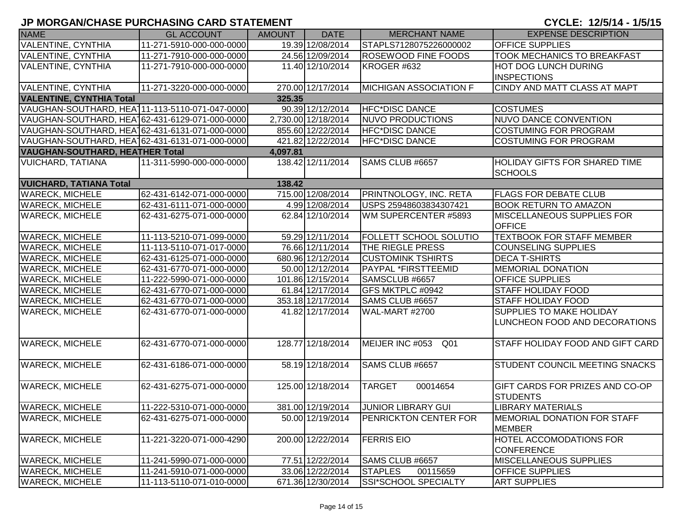|                                                | , MORONWOHADE I URUHAUNU UARD UTATEMENT |               |                     |                               | 01 JLL: 14/9/17 1/9/19                |
|------------------------------------------------|-----------------------------------------|---------------|---------------------|-------------------------------|---------------------------------------|
| <b>NAME</b>                                    | <b>GL ACCOUNT</b>                       | <b>AMOUNT</b> | <b>DATE</b>         | <b>MERCHANT NAME</b>          | <b>EXPENSE DESCRIPTION</b>            |
| <b>VALENTINE, CYNTHIA</b>                      | 11-271-5910-000-000-0000                |               | 19.39 12/08/2014    | STAPLS7128075226000002        | <b>OFFICE SUPPLIES</b>                |
| VALENTINE, CYNTHIA                             | 11-271-7910-000-000-0000                |               | 24.56 12/09/2014    | <b>ROSEWOOD FINE FOODS</b>    | <b>TOOK MECHANICS TO BREAKFAST</b>    |
| <b>VALENTINE, CYNTHIA</b>                      | 11-271-7910-000-000-0000                |               | 11.40 12/10/2014    | KROGER #632                   | <b>HOT DOG LUNCH DURING</b>           |
|                                                |                                         |               |                     |                               | <b>INSPECTIONS</b>                    |
| <b>VALENTINE, CYNTHIA</b>                      | 11-271-3220-000-000-0000                |               | 270.00 12/17/2014   | <b>MICHIGAN ASSOCIATION F</b> | CINDY AND MATT CLASS AT MAPT          |
| <b>VALENTINE, CYNTHIA Total</b>                |                                         | 325.35        |                     |                               |                                       |
| VAUGHAN-SOUTHARD, HEA111-113-5110-071-047-0000 |                                         |               | 90.39 12/12/2014    | HFC*DISC DANCE                | <b>COSTUMES</b>                       |
| VAUGHAN-SOUTHARD, HEA162-431-6129-071-000-0000 |                                         |               | 2,730.00 12/18/2014 | <b>NUVO PRODUCTIONS</b>       | NUVO DANCE CONVENTION                 |
| VAUGHAN-SOUTHARD, HEA162-431-6131-071-000-0000 |                                         |               | 855.60 12/22/2014   | <b>HFC*DISC DANCE</b>         | <b>COSTUMING FOR PROGRAM</b>          |
| VAUGHAN-SOUTHARD, HEA162-431-6131-071-000-0000 |                                         |               | 421.82 12/22/2014   | <b>HFC*DISC DANCE</b>         | <b>COSTUMING FOR PROGRAM</b>          |
| <b>VAUGHAN-SOUTHARD, HEATHER Total</b>         |                                         | 4,097.81      |                     |                               |                                       |
| <b>VUICHARD, TATIANA</b>                       | 11-311-5990-000-000-0000                |               | 138.42 12/11/2014   | SAMS CLUB #6657               | <b>HOLIDAY GIFTS FOR SHARED TIME</b>  |
|                                                |                                         |               |                     |                               | <b>SCHOOLS</b>                        |
| <b>VUICHARD, TATIANA Total</b>                 |                                         | 138.42        |                     |                               |                                       |
| <b>WARECK, MICHELE</b>                         | 62-431-6142-071-000-0000                |               | 715.00 12/08/2014   | <b>PRINTNOLOGY, INC. RETA</b> | <b>FLAGS FOR DEBATE CLUB</b>          |
| <b>WARECK, MICHELE</b>                         | 62-431-6111-071-000-0000                |               | 4.99 12/08/2014     | USPS 25948603834307421        | <b>BOOK RETURN TO AMAZON</b>          |
| <b>WARECK, MICHELE</b>                         | 62-431-6275-071-000-0000                |               | 62.84 12/10/2014    | WM SUPERCENTER #5893          | <b>IMISCELLANEOUS SUPPLIES FOR</b>    |
|                                                |                                         |               |                     |                               | <b>OFFICE</b>                         |
| <b>WARECK, MICHELE</b>                         | 11-113-5210-071-099-0000                |               | 59.29 12/11/2014    | <b>FOLLETT SCHOOL SOLUTIO</b> | <b>TEXTBOOK FOR STAFF MEMBER</b>      |
| <b>WARECK, MICHELE</b>                         | 11-113-5110-071-017-0000                |               | 76.66 12/11/2014    | <b>THE RIEGLE PRESS</b>       | <b>COUNSELING SUPPLIES</b>            |
| <b>WARECK, MICHELE</b>                         | 62-431-6125-071-000-0000                |               | 680.96 12/12/2014   | <b>CUSTOMINK TSHIRTS</b>      | <b>DECA T-SHIRTS</b>                  |
| <b>WARECK, MICHELE</b>                         | 62-431-6770-071-000-0000                |               | 50.00 12/12/2014    | PAYPAL *FIRSTTEEMID           | <b>MEMORIAL DONATION</b>              |
| <b>WARECK, MICHELE</b>                         | 11-222-5990-071-000-0000                |               | 101.86 12/15/2014   | SAMSCLUB #6657                | <b>OFFICE SUPPLIES</b>                |
| <b>WARECK, MICHELE</b>                         | 62-431-6770-071-000-0000                |               | 61.84 12/17/2014    | GFS MKTPLC #0942              | <b>STAFF HOLIDAY FOOD</b>             |
| <b>WARECK, MICHELE</b>                         | 62-431-6770-071-000-0000                |               | 353.18 12/17/2014   | SAMS CLUB #6657               | <b>STAFF HOLIDAY FOOD</b>             |
| <b>WARECK, MICHELE</b>                         | 62-431-6770-071-000-0000                |               | 41.82 12/17/2014    | WAL-MART #2700                | <b>SUPPLIES TO MAKE HOLIDAY</b>       |
|                                                |                                         |               |                     |                               | LUNCHEON FOOD AND DECORATIONS         |
|                                                |                                         |               |                     |                               |                                       |
| <b>WARECK, MICHELE</b>                         | 62-431-6770-071-000-0000                |               | 128.77 12/18/2014   | MEIJER INC #053<br>Q01        | STAFF HOLIDAY FOOD AND GIFT CARD      |
|                                                |                                         |               |                     |                               |                                       |
| <b>WARECK, MICHELE</b>                         | 62-431-6186-071-000-0000                |               | 58.19 12/18/2014    | SAMS CLUB #6657               | <b>STUDENT COUNCIL MEETING SNACKS</b> |
|                                                |                                         |               |                     |                               |                                       |
| <b>WARECK, MICHELE</b>                         | 62-431-6275-071-000-0000                |               | 125.00 12/18/2014   | <b>TARGET</b><br>00014654     | GIFT CARDS FOR PRIZES AND CO-OP       |
|                                                |                                         |               |                     |                               | <b>STUDENTS</b>                       |
| <b>WARECK, MICHELE</b>                         | 11-222-5310-071-000-0000                |               | 381.00 12/19/2014   | JUNIOR LIBRARY GUI            | <b>LIBRARY MATERIALS</b>              |
| <b>WARECK, MICHELE</b>                         | 62-431-6275-071-000-0000                |               | 50.00 12/19/2014    | <b>PENRICKTON CENTER FOR</b>  | <b>IMEMORIAL DONATION FOR STAFF</b>   |
|                                                |                                         |               |                     |                               | <b>MEMBER</b>                         |
| <b>WARECK, MICHELE</b>                         | 11-221-3220-071-000-4290                |               | 200.00 12/22/2014   | <b>FERRIS EIO</b>             | <b>HOTEL ACCOMODATIONS FOR</b>        |
|                                                |                                         |               |                     |                               | <b>CONFERENCE</b>                     |
| <b>WARECK, MICHELE</b>                         | 11-241-5990-071-000-0000                |               | 77.51 12/22/2014    | SAMS CLUB #6657               | MISCELLANEOUS SUPPLIES                |
| <b>WARECK, MICHELE</b>                         | 11-241-5910-071-000-0000                |               | 33.06 12/22/2014    | <b>STAPLES</b><br>00115659    | <b>OFFICE SUPPLIES</b>                |
| <b>WARECK, MICHELE</b>                         | 11-113-5110-071-010-0000                |               | 671.36 12/30/2014   | SSI*SCHOOL SPECIALTY          | <b>ART SUPPLIES</b>                   |